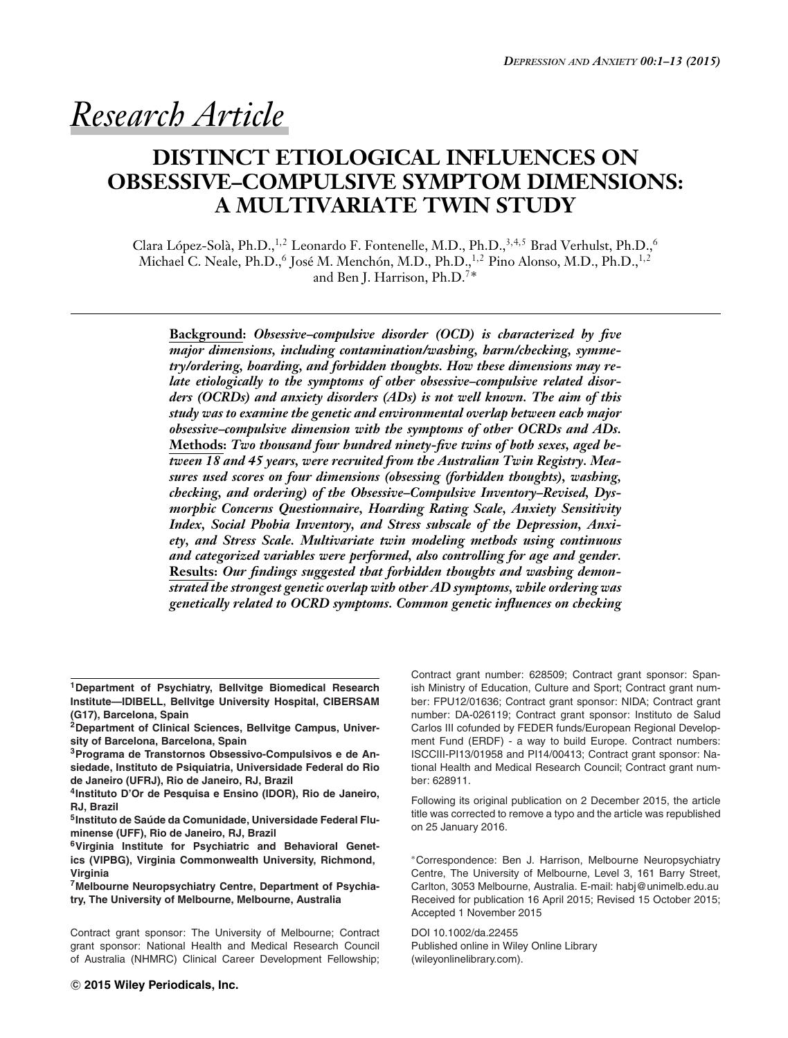*Research Article*

# **DISTINCT ETIOLOGICAL INFLUENCES ON OBSESSIVE–COMPULSIVE SYMPTOM DIMENSIONS: A MULTIVARIATE TWIN STUDY**

Clara López-Solà, Ph.D.,<sup>1,2</sup> Leonardo F. Fontenelle, M.D., Ph.D.,<sup>3,4,5</sup> Brad Verhulst, Ph.D.,<sup>6</sup> Michael C. Neale, Ph.D., $^6$  José M. Menchón, M.D., Ph.D.,  $^{1,2}$  Pino Alonso, M.D., Ph.D.,  $^{1,2}$ and Ben J. Harrison, Ph.D.7∗

**Background:** *Obsessive–compulsive disorder (OCD) is characterized by five major dimensions, including contamination/washing, harm/checking, symmetry/ordering, hoarding, and forbidden thoughts. How these dimensions may relate etiologically to the symptoms of other obsessive–compulsive related disorders (OCRDs) and anxiety disorders (ADs) is not well known. The aim of this study was to examine the genetic and environmental overlap between each major obsessive–compulsive dimension with the symptoms of other OCRDs and ADs.* **Methods:** *Two thousand four hundred ninety-five twins of both sexes, aged between 18 and 45 years, were recruited from the Australian Twin Registry. Measures used scores on four dimensions (obsessing (forbidden thoughts), washing, checking, and ordering) of the Obsessive–Compulsive Inventory–Revised, Dysmorphic Concerns Questionnaire, Hoarding Rating Scale, Anxiety Sensitivity Index, Social Phobia Inventory, and Stress subscale of the Depression, Anxiety, and Stress Scale. Multivariate twin modeling methods using continuous and categorized variables were performed, also controlling for age and gender.* **Results:** *Our findings suggested that forbidden thoughts and washing demonstrated the strongest genetic overlap with other AD symptoms, while ordering was genetically related to OCRD symptoms. Common genetic influences on checking*

**1Department of Psychiatry, Bellvitge Biomedical Research Institute—IDIBELL, Bellvitge University Hospital, CIBERSAM (G17), Barcelona, Spain**

**2Department of Clinical Sciences, Bellvitge Campus, University of Barcelona, Barcelona, Spain**

**3Programa de Transtornos Obsessivo-Compulsivos e de Ansiedade, Instituto de Psiquiatria, Universidade Federal do Rio de Janeiro (UFRJ), Rio de Janeiro, RJ, Brazil**

**4Instituto D'Or de Pesquisa e Ensino (IDOR), Rio de Janeiro, RJ, Brazil**

**5Instituto de Saude da Comunidade, Universidade Federal Flu- ´ minense (UFF), Rio de Janeiro, RJ, Brazil**

**6Virginia Institute for Psychiatric and Behavioral Genetics (VIPBG), Virginia Commonwealth University, Richmond, Virginia**

**7Melbourne Neuropsychiatry Centre, Department of Psychiatry, The University of Melbourne, Melbourne, Australia**

Contract grant sponsor: The University of Melbourne; Contract grant sponsor: National Health and Medical Research Council of Australia (NHMRC) Clinical Career Development Fellowship; Contract grant number: 628509; Contract grant sponsor: Spanish Ministry of Education, Culture and Sport; Contract grant number: FPU12/01636; Contract grant sponsor: NIDA; Contract grant number: DA-026119; Contract grant sponsor: Instituto de Salud Carlos III cofunded by FEDER funds/European Regional Development Fund (ERDF) - a way to build Europe. Contract numbers: ISCCIII-PI13/01958 and PI14/00413; Contract grant sponsor: National Health and Medical Research Council; Contract grant number: 628911.

Following its original publication on 2 December 2015, the article title was corrected to remove a typo and the article was republished on 25 January 2016.

∗Correspondence: Ben J. Harrison, Melbourne Neuropsychiatry Centre, The University of Melbourne, Level 3, 161 Barry Street, Carlton, 3053 Melbourne, Australia. E-mail: habj@unimelb.edu.au Received for publication 16 April 2015; Revised 15 October 2015; Accepted 1 November 2015

DOI 10.1002/da.22455 Published online in Wiley Online Library (wileyonlinelibrary.com).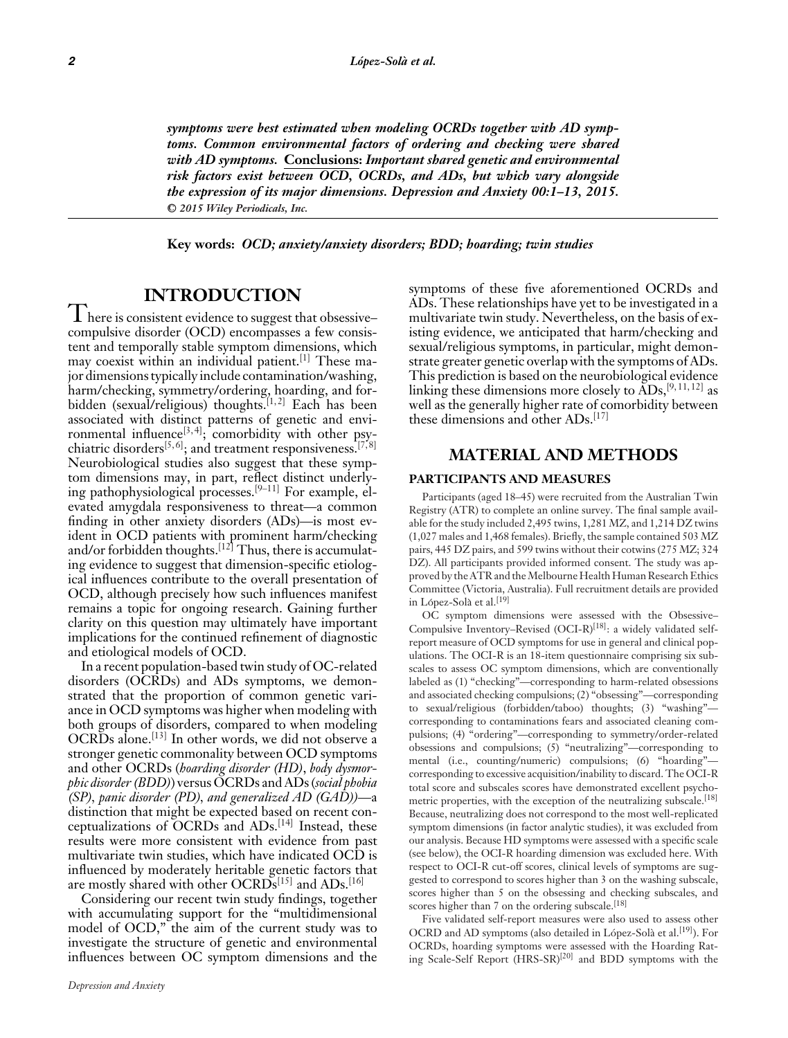*symptoms were best estimated when modeling OCRDs together with AD symptoms. Common environmental factors of ordering and checking were shared with AD symptoms.* **Conclusions:** *Important shared genetic and environmental risk factors exist between OCD, OCRDs, and ADs, but which vary alongside the expression of its major dimensions. Depression and Anxiety 00:1–13, 2015.* **-<sup>C</sup>** *2015 Wiley Periodicals, Inc.*

**Key words:** *OCD; anxiety/anxiety disorders; BDD; hoarding; twin studies*

# **INTRODUCTION**

**I** here is consistent evidence to suggest that obsessive– compulsive disorder (OCD) encompasses a few consistent and temporally stable symptom dimensions, which may coexist within an individual patient.[1] These major dimensions typically include contamination/washing, harm/checking, symmetry/ordering, hoarding, and forbidden (sexual/religious) thoughts.<sup>[1,2]</sup> Each has been associated with distinct patterns of genetic and environmental influence<sup>[3,4]</sup>; comorbidity with other psychiatric disorders<sup>[5, 6]</sup>; and treatment responsiveness.<sup>[7,8]</sup> Neurobiological studies also suggest that these symptom dimensions may, in part, reflect distinct underlying pathophysiological processes.<sup>[9–11]</sup> For example, elevated amygdala responsiveness to threat—a common finding in other anxiety disorders (ADs)—is most evident in OCD patients with prominent harm/checking and/or forbidden thoughts.<sup>[12]</sup> Thus, there is accumulating evidence to suggest that dimension-specific etiological influences contribute to the overall presentation of OCD, although precisely how such influences manifest remains a topic for ongoing research. Gaining further clarity on this question may ultimately have important implications for the continued refinement of diagnostic and etiological models of OCD.

In a recent population-based twin study of OC-related disorders (OCRDs) and ADs symptoms, we demonstrated that the proportion of common genetic variance in OCD symptoms was higher when modeling with both groups of disorders, compared to when modeling OCRDs alone.<sup>[13]</sup> In other words, we did not observe a stronger genetic commonality between OCD symptoms and other OCRDs (*hoarding disorder (HD)*, *body dysmorphic disorder (BDD)*) versus OCRDs and ADs (*social phobia (SP), panic disorder (PD), and generalized AD (GAD))*—a distinction that might be expected based on recent conceptualizations of OCRDs and ADs.[14] Instead, these results were more consistent with evidence from past multivariate twin studies, which have indicated OCD is influenced by moderately heritable genetic factors that are mostly shared with other OCRDs<sup>[15]</sup> and ADs.<sup>[16]</sup>

Considering our recent twin study findings, together with accumulating support for the "multidimensional model of OCD," the aim of the current study was to investigate the structure of genetic and environmental influences between OC symptom dimensions and the

symptoms of these five aforementioned OCRDs and ADs. These relationships have yet to be investigated in a multivariate twin study. Nevertheless, on the basis of existing evidence, we anticipated that harm/checking and sexual/religious symptoms, in particular, might demonstrate greater genetic overlap with the symptoms of ADs. This prediction is based on the neurobiological evidence linking these dimensions more closely to  $\widetilde{AD}s$ , [9, 11, 12] as well as the generally higher rate of comorbidity between these dimensions and other ADs.<sup>[17]</sup>

# **MATERIAL AND METHODS**

#### **PARTICIPANTS AND MEASURES**

Participants (aged 18–45) were recruited from the Australian Twin Registry (ATR) to complete an online survey. The final sample available for the study included 2,495 twins, 1,281 MZ, and 1,214 DZ twins (1,027 males and 1,468 females). Briefly, the sample contained 503 MZ pairs, 445 DZ pairs, and 599 twins without their cotwins (275 MZ; 324 DZ). All participants provided informed consent. The study was approved by the ATR and theMelbourne Health Human Research Ethics Committee (Victoria, Australia). Full recruitment details are provided in López-Solà et al.<sup>[19]</sup>

OC symptom dimensions were assessed with the Obsessive– Compulsive Inventory–Revised (OCI-R)<sup>[18]</sup>: a widely validated selfreport measure of OCD symptoms for use in general and clinical populations. The OCI-R is an 18-item questionnaire comprising six subscales to assess OC symptom dimensions, which are conventionally labeled as (1) "checking"—corresponding to harm-related obsessions and associated checking compulsions; (2) "obsessing"—corresponding to sexual/religious (forbidden/taboo) thoughts; (3) "washing" corresponding to contaminations fears and associated cleaning compulsions; (4) "ordering"—corresponding to symmetry/order-related obsessions and compulsions; (5) "neutralizing"—corresponding to mental (i.e., counting/numeric) compulsions; (6) "hoarding"corresponding to excessive acquisition/inability to discard. The OCI-R total score and subscales scores have demonstrated excellent psychometric properties, with the exception of the neutralizing subscale.[18] Because, neutralizing does not correspond to the most well-replicated symptom dimensions (in factor analytic studies), it was excluded from our analysis. Because HD symptoms were assessed with a specific scale (see below), the OCI-R hoarding dimension was excluded here. With respect to OCI-R cut-off scores, clinical levels of symptoms are suggested to correspond to scores higher than 3 on the washing subscale, scores higher than 5 on the obsessing and checking subscales, and scores higher than 7 on the ordering subscale.<sup>[18]</sup>

Five validated self-report measures were also used to assess other OCRD and AD symptoms (also detailed in López-Solà et al.<sup>[19]</sup>). For OCRDs, hoarding symptoms were assessed with the Hoarding Rating Scale-Self Report (HRS-SR)[20] and BDD symptoms with the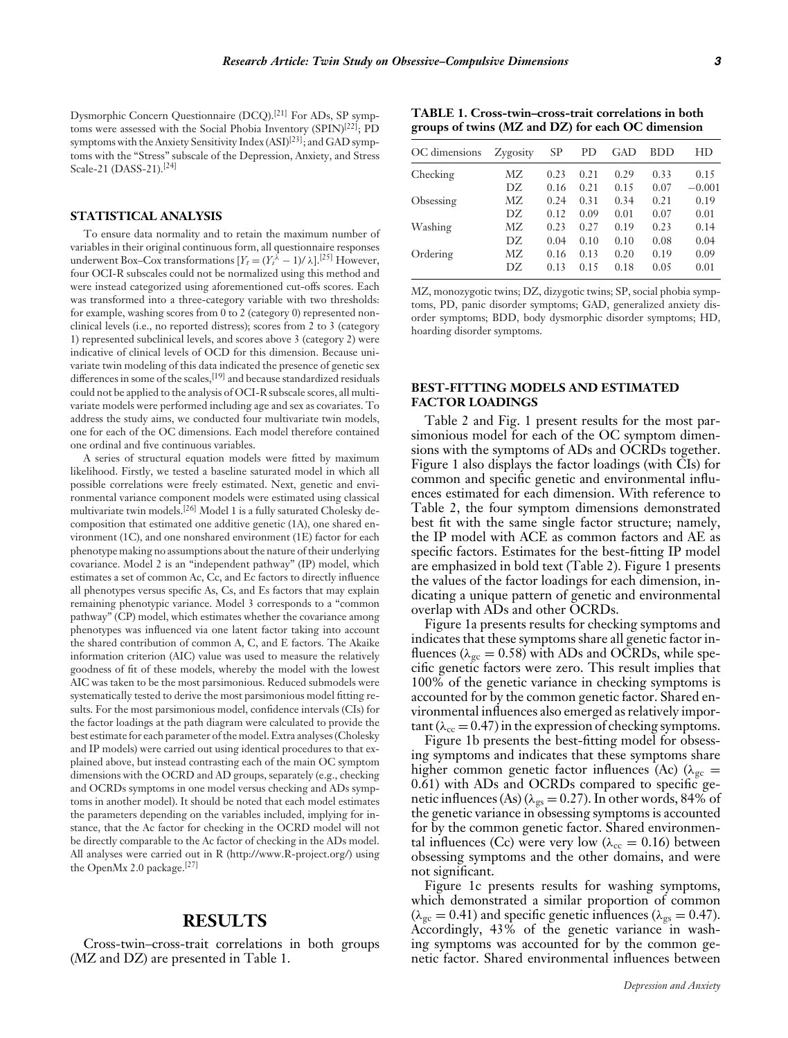Dysmorphic Concern Questionnaire (DCQ).[21] For ADs, SP symptoms were assessed with the Social Phobia Inventory (SPIN)<sup>[22]</sup>; PD symptoms with the Anxiety Sensitivity Index  $(ASI)^{[23]}$ ; and GAD symptoms with the "Stress" subscale of the Depression, Anxiety, and Stress Scale-21 (DASS-21).<sup>[24]</sup>

#### **STATISTICAL ANALYSIS**

To ensure data normality and to retain the maximum number of variables in their original continuous form, all questionnaire responses underwent Box–Cox transformations  $[Y_t = (Y_t^{\lambda} - 1)/\lambda]$ .<sup>[25]</sup> However, four OCI-R subscales could not be normalized using this method and were instead categorized using aforementioned cut-offs scores. Each was transformed into a three-category variable with two thresholds: for example, washing scores from 0 to 2 (category 0) represented nonclinical levels (i.e., no reported distress); scores from 2 to 3 (category 1) represented subclinical levels, and scores above 3 (category 2) were indicative of clinical levels of OCD for this dimension. Because univariate twin modeling of this data indicated the presence of genetic sex differences in some of the scales,<sup>[19]</sup> and because standardized residuals could not be applied to the analysis of OCI-R subscale scores, all multivariate models were performed including age and sex as covariates. To address the study aims, we conducted four multivariate twin models, one for each of the OC dimensions. Each model therefore contained one ordinal and five continuous variables.

A series of structural equation models were fitted by maximum likelihood. Firstly, we tested a baseline saturated model in which all possible correlations were freely estimated. Next, genetic and environmental variance component models were estimated using classical multivariate twin models.[26] Model 1 is a fully saturated Cholesky decomposition that estimated one additive genetic (1A), one shared environment (1C), and one nonshared environment (1E) factor for each phenotype making no assumptions about the nature of their underlying covariance. Model 2 is an "independent pathway" (IP) model, which estimates a set of common Ac, Cc, and Ec factors to directly influence all phenotypes versus specific As, Cs, and Es factors that may explain remaining phenotypic variance. Model 3 corresponds to a "common pathway" (CP) model, which estimates whether the covariance among phenotypes was influenced via one latent factor taking into account the shared contribution of common A, C, and E factors. The Akaike information criterion (AIC) value was used to measure the relatively goodness of fit of these models, whereby the model with the lowest AIC was taken to be the most parsimonious. Reduced submodels were systematically tested to derive the most parsimonious model fitting results. For the most parsimonious model, confidence intervals (CIs) for the factor loadings at the path diagram were calculated to provide the best estimate for each parameter of the model. Extra analyses (Cholesky and IP models) were carried out using identical procedures to that explained above, but instead contrasting each of the main OC symptom dimensions with the OCRD and AD groups, separately (e.g., checking and OCRDs symptoms in one model versus checking and ADs symptoms in another model). It should be noted that each model estimates the parameters depending on the variables included, implying for instance, that the Ac factor for checking in the OCRD model will not be directly comparable to the Ac factor of checking in the ADs model. All analyses were carried out in R (http://www.R-project.org/) using the OpenMx 2.0 package.<sup>[27]</sup>

# **RESULTS**

Cross-twin–cross-trait correlations in both groups (MZ and DZ) are presented in Table 1.

**TABLE 1. Cross-twin–cross-trait correlations in both groups of twins (MZ and DZ) for each OC dimension**

| OC dimensions | Zygosity | SP   | РD   | GAD  | <b>BDD</b> | НD       |
|---------------|----------|------|------|------|------------|----------|
| Checking      | MZ.      | 0.23 | 0.21 | 0.29 | 0.33       | 0.15     |
|               | DZ.      | 0.16 | 0.21 | 0.15 | 0.07       | $-0.001$ |
| Obsessing     | MZ.      | 0.24 | 0.31 | 0.34 | 0.21       | 0.19     |
|               | DZ.      | 0.12 | 0.09 | 0.01 | 0.07       | 0.01     |
| Washing       | MZ.      | 0.23 | 0.27 | 0.19 | 0.23       | 0.14     |
|               | DZ.      | 0.04 | 0.10 | 0.10 | 0.08       | 0.04     |
| Ordering      | MZ.      | 0.16 | 0.13 | 0.20 | 0.19       | 0.09     |
|               | DZ.      | 0.13 | 0.15 | 0.18 | 0.05       | 0.01     |

MZ, monozygotic twins; DZ, dizygotic twins; SP, social phobia symptoms, PD, panic disorder symptoms; GAD, generalized anxiety disorder symptoms; BDD, body dysmorphic disorder symptoms; HD, hoarding disorder symptoms.

#### **BEST-FITTING MODELS AND ESTIMATED FACTOR LOADINGS**

Table 2 and Fig. 1 present results for the most parsimonious model for each of the OC symptom dimensions with the symptoms of ADs and OCRDs together. Figure 1 also displays the factor loadings (with CIs) for common and specific genetic and environmental influences estimated for each dimension. With reference to Table 2, the four symptom dimensions demonstrated best fit with the same single factor structure; namely, the IP model with ACE as common factors and AE as specific factors. Estimates for the best-fitting IP model are emphasized in bold text (Table 2). Figure 1 presents the values of the factor loadings for each dimension, indicating a unique pattern of genetic and environmental overlap with ADs and other OCRDs.

Figure 1a presents results for checking symptoms and indicates that these symptoms share all genetic factor influences ( $\lambda_{\rm gc} = 0.58$ ) with ADs and OCRDs, while specific genetic factors were zero. This result implies that 100% of the genetic variance in checking symptoms is accounted for by the common genetic factor. Shared environmental influences also emerged as relatively important ( $\lambda_{cc}$  = 0.47) in the expression of checking symptoms.

Figure 1b presents the best-fitting model for obsessing symptoms and indicates that these symptoms share higher common genetic factor influences (Ac) ( $\lambda_{gc}$  = 0.61) with ADs and OCRDs compared to specific genetic influences (As) ( $\lambda_{gs} = 0.27$ ). In other words, 84% of the genetic variance in obsessing symptoms is accounted for by the common genetic factor. Shared environmental influences (Cc) were very low ( $\lambda_{cc} = 0.16$ ) between obsessing symptoms and the other domains, and were not significant.

Figure 1c presents results for washing symptoms, which demonstrated a similar proportion of common  $(\lambda_{\rm gc} = 0.41)$  and specific genetic influences ( $\lambda_{\rm gs} = 0.47$ ). Accordingly, 43% of the genetic variance in washing symptoms was accounted for by the common genetic factor. Shared environmental influences between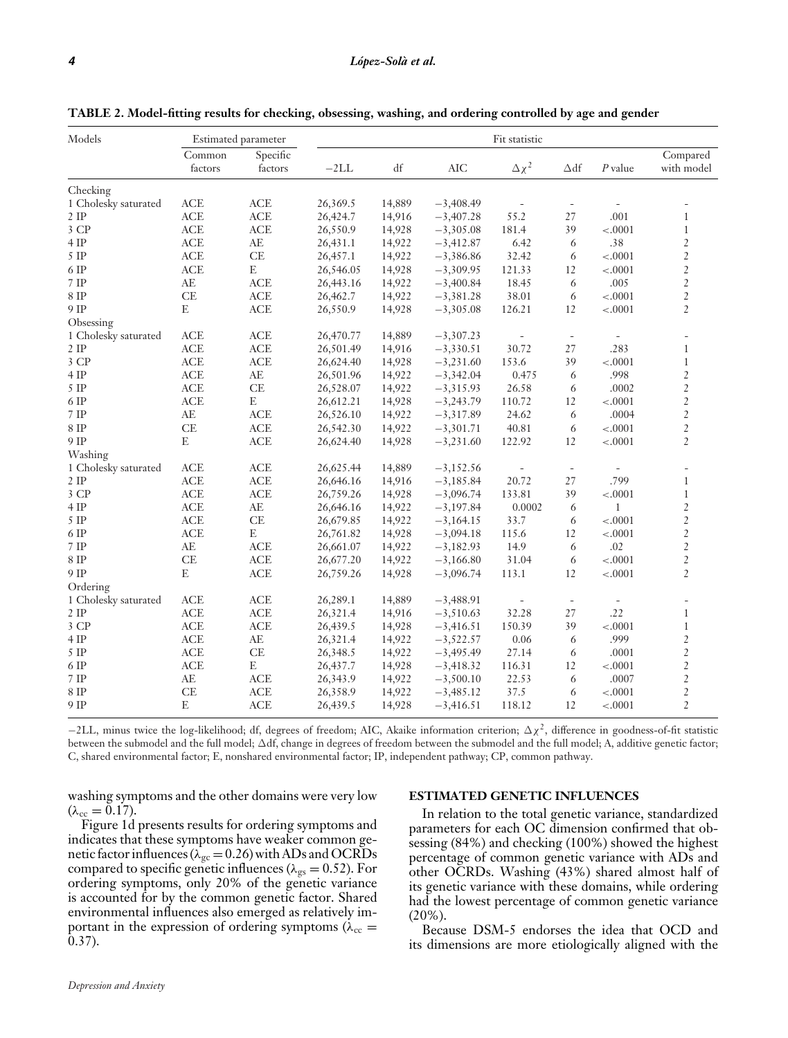| Models               |                   | Estimated parameter |           |        |             | Fit statistic            |                          |                          |                        |
|----------------------|-------------------|---------------------|-----------|--------|-------------|--------------------------|--------------------------|--------------------------|------------------------|
|                      | Common<br>factors | Specific<br>factors | $-2LL$    | df     | <b>AIC</b>  | $\Delta \chi^2$          | $\Delta df$              | $P$ value                | Compared<br>with model |
| Checking             |                   |                     |           |        |             |                          |                          |                          |                        |
| 1 Cholesky saturated | <b>ACE</b>        | <b>ACE</b>          | 26,369.5  | 14,889 | $-3,408.49$ |                          |                          |                          |                        |
| $2$ IP               | ACE               | ACE                 | 26,424.7  | 14,916 | $-3,407.28$ | 55.2                     | 27                       | .001                     | $\mathbf{1}$           |
| 3 CP                 | <b>ACE</b>        | <b>ACE</b>          | 26,550.9  | 14,928 | $-3,305.08$ | 181.4                    | 39                       | $-.0001$                 | $\mathbf{1}$           |
| 4 IP                 | <b>ACE</b>        | $AE$                | 26,431.1  | 14,922 | $-3,412.87$ | 6.42                     | 6                        | .38                      | $\overline{2}$         |
| 5 IP                 | ACE               | $\operatorname{CE}$ | 26,457.1  | 14,922 | $-3,386.86$ | 32.42                    | 6                        | $-.0001$                 | $\overline{2}$         |
| 6 IP                 | <b>ACE</b>        | E                   | 26,546.05 | 14,928 | $-3,309.95$ | 121.33                   | 12                       | $-.0001$                 | $\overline{2}$         |
| 7 IP                 | AE                | <b>ACE</b>          | 26,443.16 | 14,922 | $-3,400.84$ | 18.45                    | 6                        | .005                     | $\overline{2}$         |
| 8 IP                 | CE                | ACE                 | 26,462.7  | 14,922 | $-3,381.28$ | 38.01                    | 6                        | $-.0001$                 | $\overline{2}$         |
| 9 IP                 | $\mathbf E$       | ACE                 | 26,550.9  | 14,928 | $-3,305.08$ | 126.21                   | 12                       | $-.0001$                 | $\overline{2}$         |
| Obsessing            |                   |                     |           |        |             |                          |                          |                          |                        |
| 1 Cholesky saturated | <b>ACE</b>        | <b>ACE</b>          | 26,470.77 | 14,889 | $-3,307.23$ | $\overline{\phantom{a}}$ | $\sim$                   | $\overline{\phantom{a}}$ |                        |
| $2$ IP               | ACE               | ACE                 | 26,501.49 | 14,916 | $-3,330.51$ | 30.72                    | 27                       | .283                     | $\mathbf{1}$           |
| 3 CP                 | ACE               | ACE                 | 26,624.40 | 14,928 | $-3,231.60$ | 153.6                    | 39                       | $-.0001$                 | $\mathbf{1}$           |
| 4 IP                 | ACE               | AE                  | 26,501.96 | 14,922 | $-3,342.04$ | 0.475                    | 6                        | .998                     | $\overline{2}$         |
| $5$ IP               | ACE               | CE                  | 26,528.07 | 14,922 | $-3,315.93$ | 26.58                    | 6                        | .0002                    | $\overline{c}$         |
| 6 IP                 | ACE               | E                   | 26,612.21 | 14,928 | $-3,243.79$ | 110.72                   | 12                       | $-.0001$                 | $\overline{2}$         |
| 7 IP                 | $AE$              | ACE                 | 26,526.10 | 14,922 | $-3,317.89$ | 24.62                    | 6                        | .0004                    | $\overline{2}$         |
| 8 IP                 | CE                | ACE                 | 26,542.30 | 14,922 | $-3,301.71$ | 40.81                    | 6                        | $-.0001$                 | $\overline{2}$         |
| 9 IP                 | $\mathbf E$       | <b>ACE</b>          | 26,624.40 | 14,928 | $-3,231.60$ | 122.92                   | 12                       | $-.0001$                 | $\overline{2}$         |
| Washing              |                   |                     |           |        |             |                          |                          |                          |                        |
| 1 Cholesky saturated | ACE               | ACE                 | 26,625.44 | 14,889 | $-3,152.56$ | $\overline{\phantom{a}}$ | $\overline{\phantom{a}}$ | $\overline{\phantom{a}}$ |                        |
| $2$ IP               | ACE               | <b>ACE</b>          | 26,646.16 | 14,916 | $-3,185.84$ | 20.72                    | 27                       | .799                     | $\mathbf{1}$           |
| 3 CP                 | ACE               | ACE                 | 26,759.26 | 14,928 | $-3,096.74$ | 133.81                   | 39                       | $-.0001$                 | $\mathbf{1}$           |
| 4 IP                 | ACE               | AE                  | 26,646.16 | 14,922 | $-3,197.84$ | 0.0002                   | 6                        | $\mathbf{1}$             | $\overline{2}$         |
| $5$ IP               | ACE               | CE                  | 26,679.85 | 14,922 | $-3,164.15$ | 33.7                     | 6                        | $-.0001$                 | $\overline{2}$         |
| 6 IP                 | ACE               | E                   | 26,761.82 | 14,928 | $-3,094.18$ | 115.6                    | 12                       | $-.0001$                 | $\overline{c}$         |
| $7$ IP               | AE                | <b>ACE</b>          | 26,661.07 | 14,922 | $-3,182.93$ | 14.9                     | 6                        | .02                      | $\overline{c}$         |
| $8$ IP               | CE                | ACE                 | 26,677.20 | 14,922 | $-3,166.80$ | 31.04                    | 6                        | $-.0001$                 | $\overline{2}$         |
| 9 IP                 | $\mathbf E$       | ACE                 | 26,759.26 | 14,928 | $-3,096.74$ | 113.1                    | 12                       | $-.0001$                 | $\overline{2}$         |
| Ordering             |                   |                     |           |        |             |                          |                          |                          |                        |
| 1 Cholesky saturated | ACE               | ACE                 | 26,289.1  | 14,889 | $-3,488.91$ | $\overline{\phantom{a}}$ | $\sim$                   | $\overline{\phantom{a}}$ |                        |
| $2$ IP               | <b>ACE</b>        | <b>ACE</b>          | 26,321.4  | 14,916 | $-3,510.63$ | 32.28                    | 27                       | .22                      | 1                      |
| 3 CP                 | ACE               | ACE                 | 26,439.5  | 14,928 | $-3,416.51$ | 150.39                   | 39                       | $-.0001$                 | $\mathbf{1}$           |
| 4 IP                 | ACE               | $\rm AE$            | 26,321.4  | 14,922 | $-3,522.57$ | 0.06                     | 6                        | .999                     | $\overline{c}$         |
| 5 IP                 | ACE               | CE                  | 26,348.5  | 14,922 | $-3,495.49$ | 27.14                    | 6                        | .0001                    | $\overline{2}$         |
| 6 IP                 | ACE               | E                   | 26,437.7  | 14,928 | $-3,418.32$ | 116.31                   | 12                       | $-.0001$                 | $\overline{2}$         |
| 7 IP                 | AE                | ACE                 | 26, 343.9 | 14,922 | $-3,500.10$ | 22.53                    | 6                        | .0007                    | $\overline{2}$         |
| $8$ IP               | CE                | ACE                 | 26,358.9  | 14,922 | $-3,485.12$ | 37.5                     | 6                        | $-.0001$                 | $\overline{c}$         |
| 9 IP                 | $\mathbf E$       | ACE                 | 26,439.5  | 14,928 | $-3,416.51$ | 118.12                   | 12                       | $-.0001$                 | $\overline{2}$         |

**TABLE 2. Model-fitting results for checking, obsessing, washing, and ordering controlled by age and gender**

−2LL, minus twice the log-likelihood; df, degrees of freedom; AIC, Akaike information criterion;  $\Delta \chi^2$ , difference in goodness-of-fit statistic between the submodel and the full model;  $\Delta$ df, change in degrees of freedom between the submodel and the full model; A, additive genetic factor; C, shared environmental factor; E, nonshared environmental factor; IP, independent pathway; CP, common pathway.

washing symptoms and the other domains were very low  $(\lambda_{cc} = 0.17).$ 

Figure 1d presents results for ordering symptoms and indicates that these symptoms have weaker common genetic factor influences ( $\lambda_{gc} = 0.26$ ) with ADs and OCRDs compared to specific genetic influences ( $\lambda_{gs} = 0.52$ ). For ordering symptoms, only 20% of the genetic variance is accounted for by the common genetic factor. Shared environmental influences also emerged as relatively important in the expression of ordering symptoms ( $\lambda_{\rm cc}$  = 0.37).

#### **ESTIMATED GENETIC INFLUENCES**

In relation to the total genetic variance, standardized parameters for each OC dimension confirmed that obsessing (84%) and checking (100%) showed the highest percentage of common genetic variance with ADs and other OCRDs. Washing (43%) shared almost half of its genetic variance with these domains, while ordering had the lowest percentage of common genetic variance (20%).

Because DSM-5 endorses the idea that OCD and its dimensions are more etiologically aligned with the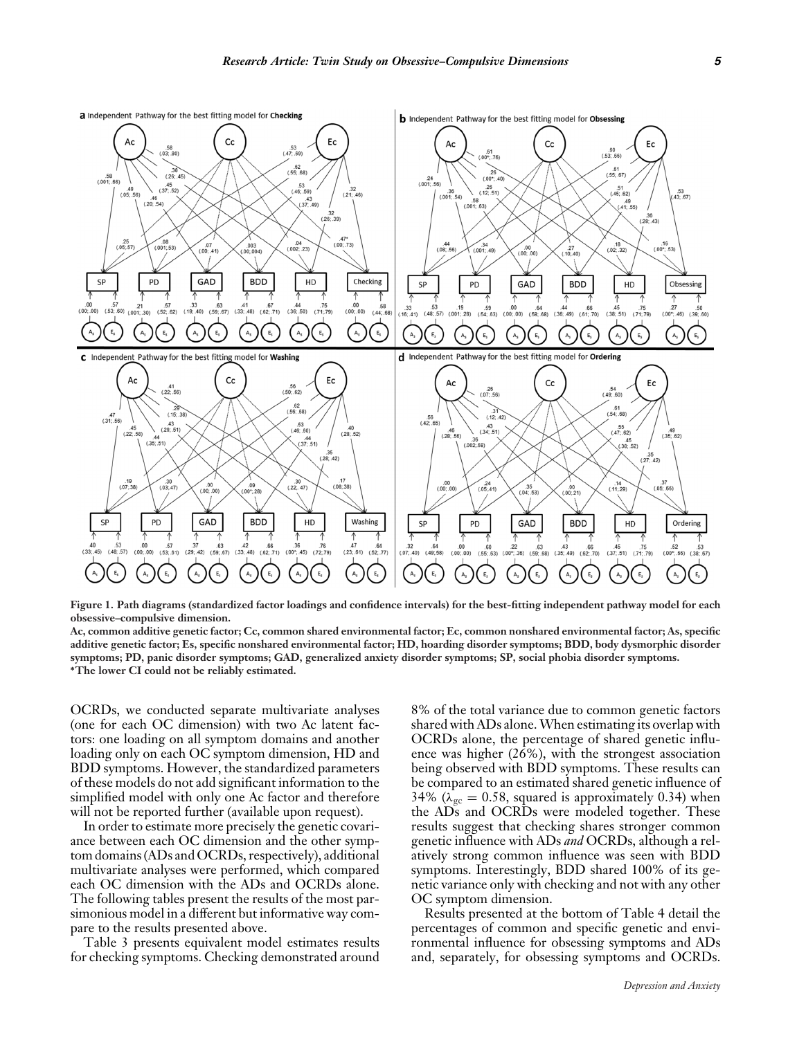

**Figure 1. Path diagrams (standardized factor loadings and confidence intervals) for the best-fitting independent pathway model for each obsessive–compulsive dimension.**

**Ac, common additive genetic factor; Cc, common shared environmental factor; Ec, common nonshared environmental factor; As, specific additive genetic factor; Es, specific nonshared environmental factor; HD, hoarding disorder symptoms; BDD, body dysmorphic disorder symptoms; PD, panic disorder symptoms; GAD, generalized anxiety disorder symptoms; SP, social phobia disorder symptoms. ∗The lower CI could not be reliably estimated.**

OCRDs, we conducted separate multivariate analyses (one for each OC dimension) with two Ac latent factors: one loading on all symptom domains and another loading only on each OC symptom dimension, HD and BDD symptoms. However, the standardized parameters of these models do not add significant information to the simplified model with only one Ac factor and therefore will not be reported further (available upon request).

In order to estimate more precisely the genetic covariance between each OC dimension and the other symptom domains (ADs and OCRDs, respectively), additional multivariate analyses were performed, which compared each OC dimension with the ADs and OCRDs alone. The following tables present the results of the most parsimonious model in a different but informative way compare to the results presented above.

Table 3 presents equivalent model estimates results for checking symptoms. Checking demonstrated around

8% of the total variance due to common genetic factors shared with ADs alone.When estimating its overlap with OCRDs alone, the percentage of shared genetic influence was higher (26%), with the strongest association being observed with BDD symptoms. These results can be compared to an estimated shared genetic influence of 34% ( $\lambda_{\text{gc}} = 0.58$ , squared is approximately 0.34) when the ADs and OCRDs were modeled together. These results suggest that checking shares stronger common genetic influence with ADs *and* OCRDs, although a relatively strong common influence was seen with BDD symptoms. Interestingly, BDD shared 100% of its genetic variance only with checking and not with any other OC symptom dimension.

Results presented at the bottom of Table 4 detail the percentages of common and specific genetic and environmental influence for obsessing symptoms and ADs and, separately, for obsessing symptoms and OCRDs.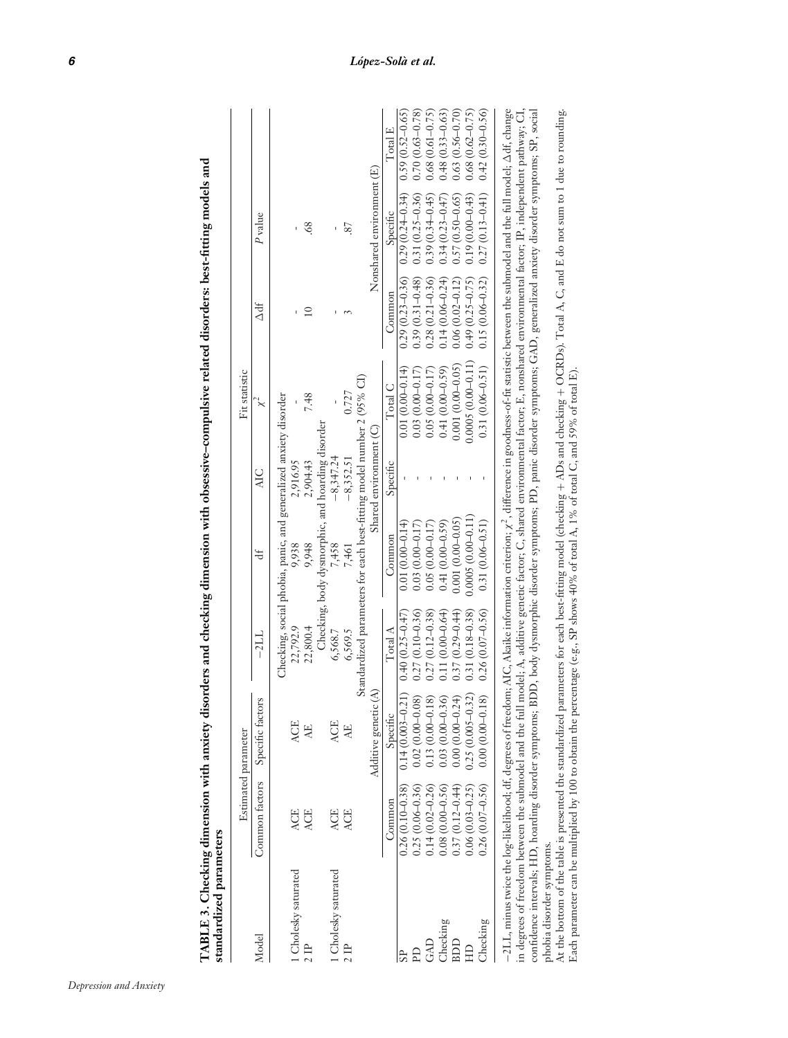| standardized parameters                                                                                                                                                                                        |                                                                                       |                                                                       |                     |                                                                       |                          |                                                                                                                                    |                     |                           |                     |
|----------------------------------------------------------------------------------------------------------------------------------------------------------------------------------------------------------------|---------------------------------------------------------------------------------------|-----------------------------------------------------------------------|---------------------|-----------------------------------------------------------------------|--------------------------|------------------------------------------------------------------------------------------------------------------------------------|---------------------|---------------------------|---------------------|
|                                                                                                                                                                                                                |                                                                                       | Estimated parameter                                                   |                     |                                                                       |                          | Fit statistic                                                                                                                      |                     |                           |                     |
| Model                                                                                                                                                                                                          | Common factors                                                                        | Specific factors                                                      | $-21.1$             | ₩                                                                     | AIC.                     | $x^4$                                                                                                                              | Å                   | P value                   |                     |
|                                                                                                                                                                                                                |                                                                                       |                                                                       |                     | Checking, social phobia, panic, and generalized anxiety disorder      |                          |                                                                                                                                    |                     |                           |                     |
| 1 Cholesky saturated                                                                                                                                                                                           | <b>ACE</b>                                                                            | <b>ACE</b>                                                            | 22,792.9            | 9,938                                                                 | 2,916.95                 |                                                                                                                                    |                     | ı                         |                     |
| 2B                                                                                                                                                                                                             | <b>ACE</b>                                                                            | Æ                                                                     | 22,800.4            | 9,948                                                                 | 2,904.43                 | 7.48                                                                                                                               | $\overline{10}$     | $\frac{8}{3}$             |                     |
|                                                                                                                                                                                                                |                                                                                       |                                                                       |                     | Checking, body dysmorphic, and hoarding disorder                      |                          |                                                                                                                                    |                     |                           |                     |
| 1 Cholesky saturated                                                                                                                                                                                           | <b>ACE</b>                                                                            | <b>ACE</b>                                                            | 6,568.7             | 7,458                                                                 | $-8,347.24$              |                                                                                                                                    |                     | I.                        |                     |
| 2P                                                                                                                                                                                                             | <b>ACE</b>                                                                            | 낫                                                                     | 6,569.5             | 7,461                                                                 | $-8,352.51$              | 0.727                                                                                                                              |                     | 87                        |                     |
|                                                                                                                                                                                                                |                                                                                       |                                                                       |                     | Standardized parameters for each best-fitting model number 2 (95% CI) |                          |                                                                                                                                    |                     |                           |                     |
|                                                                                                                                                                                                                |                                                                                       | €<br>Additive genetic                                                 |                     |                                                                       | Shared environment $(C)$ |                                                                                                                                    |                     | Nonshared environment (E) |                     |
|                                                                                                                                                                                                                | Common                                                                                | Specific                                                              | $\rm Total\, A$     | Common                                                                | Specific                 | Total C                                                                                                                            | Common              | Specific                  | Total E             |
| SP.                                                                                                                                                                                                            | $0.26(0.10 - 0.38)$                                                                   | $0.14(0.003 - 0.21)$                                                  | $0.40(0.25 - 0.47)$ | $0.01(0.00-0.14)$                                                     |                          | $0.01(0.00-0.14)$                                                                                                                  | $0.29(0.23 - 0.36)$ | $0.29(0.24 - 0.34)$       | $0.59(0.52 - 0.65)$ |
| Ê                                                                                                                                                                                                              | $0.25(0.06 - 0.36)$                                                                   |                                                                       | $0.27(0.10 - 0.36)$ | $0.03(0.00-0.17)$                                                     |                          | $0.03(0.00-0.17)$                                                                                                                  | $0.39(0.31 - 0.48)$ | $0.31(0.25 - 0.36)$       | $0.70(0.63 - 0.78)$ |
| GAD                                                                                                                                                                                                            | $0.14(0.02 - 0.26)$                                                                   | $\begin{array}{c} 0.02\ (0.00-0.08) \\ 0.13\ (0.00-0.18) \end{array}$ | $0.27(0.12 - 0.38)$ | $0.05(0.00 - 0.17)$                                                   |                          | $0.05(0.00-0.17)$                                                                                                                  | $0.28(0.21 - 0.36)$ | $0.39(0.3 + 0.45)$        | $0.68(0.61 - 0.75)$ |
| Checking                                                                                                                                                                                                       |                                                                                       | $0.03(0.00-0.36)$<br>0.00 (0.00-0.24)                                 | $0.11(0.00 - 0.64)$ | $0.41(0.00 - 0.59)$                                                   |                          | $0.41(0.00 - 0.59)$                                                                                                                | $0.14(0.06 - 0.24)$ | $0.34(0.23 - 0.47)$       | $0.48(0.33 - 0.63)$ |
| BDD                                                                                                                                                                                                            | $\begin{array}{c} 0.08\ (0.00\text{--}0.56) \\ 0.37\ (0.12\text{--}0.44) \end{array}$ |                                                                       | $0.37(0.29 - 0.44)$ | $0.001(0.00 - 0.05)$                                                  |                          | $0.001(0.00 - 0.05)$                                                                                                               | $0.06(0.02 - 0.12)$ | $0.57(0.50 - 0.65)$       | $0.63(0.56 - 0.70)$ |
| E                                                                                                                                                                                                              | $0.06(0.03 - 0.25)$                                                                   | $0.25(0.005 - 0.32)$                                                  | $0.31(0.18 - 0.38)$ | $0.0005(0.00-0.11)$                                                   |                          | $0.0005(0.00-0.11)$                                                                                                                | $0.49(0.25 - 0.75)$ | $0.19(0.00 - 0.43)$       | $0.68(0.62 - 0.75)$ |
| Checking                                                                                                                                                                                                       | $0.26(0.07 - 0.56)$                                                                   | $0.00(0.00-0.18)$                                                     | $0.26(0.07 - 0.56)$ | $0.31(0.06 - 0.51)$                                                   |                          | $0.31(0.06 - 0.51)$                                                                                                                | $0.15(0.06 - 0.32)$ | $0.27(0.13 - 0.41)$       | $0.42(0.30 - 0.56)$ |
| –2LL, minus twice the log-likelihood; df, degrees of freedom; AIG, Akaike information criterion; x <sup>2</sup> , difference in goodness-of-fit statistic between the submodel and the full model; Adf, change |                                                                                       |                                                                       |                     |                                                                       |                          |                                                                                                                                    |                     |                           |                     |
| in degrees of freedom between the submodel and the full                                                                                                                                                        |                                                                                       |                                                                       |                     |                                                                       |                          | model; A, additive genetic factor; C, shared environmental factor; E, nonshared environmental factor; IP, independent pathway; CI, |                     |                           |                     |
| confidence intervals; HD, hoarding disorder symptoms; BDD, body dysmorphic disorder symptoms; PD, panic disorder symptoms; GAD, generalized anxiety disorder symptoms; SP, social                              |                                                                                       |                                                                       |                     |                                                                       |                          |                                                                                                                                    |                     |                           |                     |
| phobia disorder symptoms.                                                                                                                                                                                      |                                                                                       |                                                                       |                     |                                                                       |                          |                                                                                                                                    |                     |                           |                     |
| At the bottom of the table is presented the standardized parameters for each best-fitting model (checking + ADs and checking + OCRDs). Total A, C, and E do not sum to 1 due to rounding.                      |                                                                                       |                                                                       |                     |                                                                       |                          |                                                                                                                                    |                     |                           |                     |
| Each parameter can be multiplied by 100 to obtain the percentage (e.g., SP shows 40% of total A, 1% of total C, and 59% of total E).                                                                           |                                                                                       |                                                                       |                     |                                                                       |                          |                                                                                                                                    |                     |                           |                     |

TABLE 3. Checking dimension with anxiety disorders and checking dimension with obsessive-compulsive related disorders: best-fitting models and TABLE 3. Checking dimension with anxiety disorders and checking dimension with obsessive-compulsive related disorders: best-fitting models and

*Depression and Anxiety*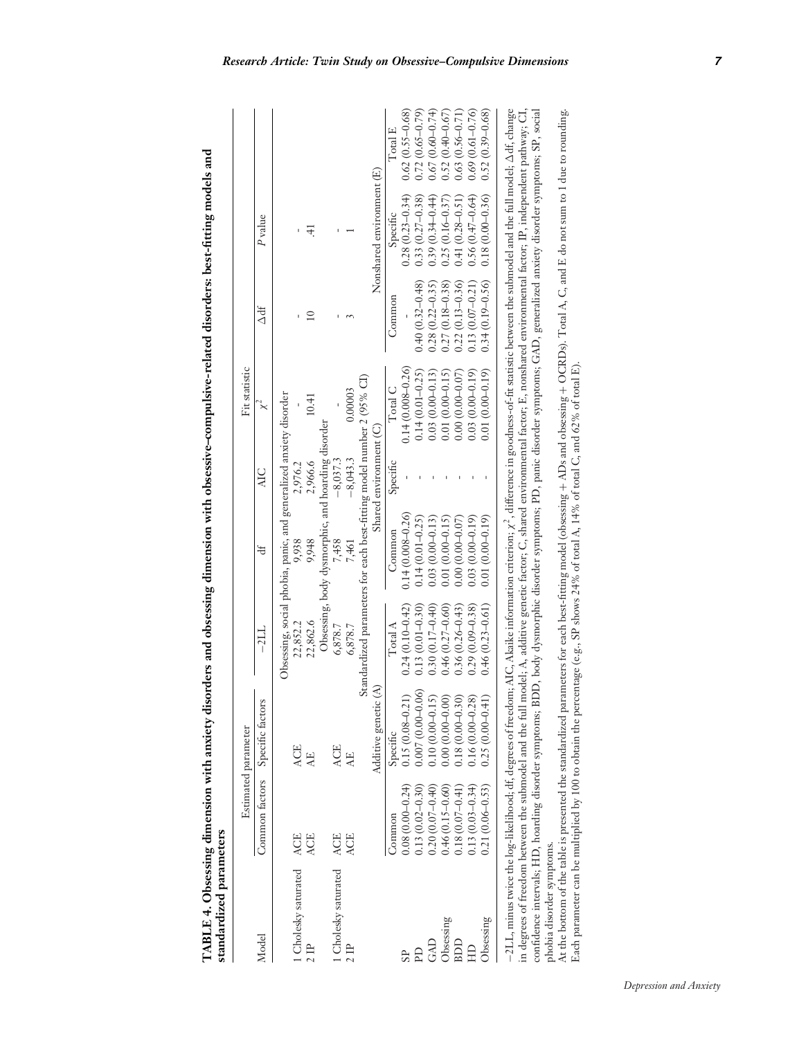| i<br>C               |   |  |
|----------------------|---|--|
| $\overline{1}$       |   |  |
| - 114467             |   |  |
|                      | l |  |
|                      |   |  |
|                      |   |  |
|                      |   |  |
| i<br>I               |   |  |
| ا<br>ا               |   |  |
|                      |   |  |
| $P = P \times P = P$ |   |  |
|                      |   |  |
|                      | l |  |
|                      |   |  |
|                      |   |  |
| <b>CONTRACTOR</b>    |   |  |
| ،<br>و               |   |  |
|                      |   |  |
| キャッチャー ちょうこうかん アップス  |   |  |
|                      |   |  |
|                      |   |  |
|                      | ١ |  |
|                      |   |  |
| ،<br>پ               |   |  |
|                      |   |  |
|                      |   |  |
|                      |   |  |
| ¢                    |   |  |
| l<br>ļ<br>l          |   |  |
|                      |   |  |
|                      |   |  |
|                      |   |  |
|                      |   |  |
|                      |   |  |
|                      |   |  |
|                      |   |  |
|                      |   |  |
| $\frac{1}{2}$        |   |  |
|                      |   |  |
|                      |   |  |

**d**

|                                                                                                                                                                                                                     |                     | Estimated parameter   |                     |                                                                       |                        | Fit statistic        |                     |                           |                     |
|---------------------------------------------------------------------------------------------------------------------------------------------------------------------------------------------------------------------|---------------------|-----------------------|---------------------|-----------------------------------------------------------------------|------------------------|----------------------|---------------------|---------------------------|---------------------|
| Model                                                                                                                                                                                                               | Common factors      | Specific factors      | $-21L$              | ₩                                                                     | <b>AIC</b>             | $\times^4$           | 为<br>人              | P <sub>value</sub>        |                     |
|                                                                                                                                                                                                                     |                     |                       |                     | Obsessing, social phobia, panic, and generalized anxiety disorder     |                        |                      |                     |                           |                     |
| 1 Cholesky saturated                                                                                                                                                                                                | <b>ACE</b>          | <b>ACE</b>            | 22,852.2            | 9,938                                                                 | 2,976.2                |                      |                     |                           |                     |
|                                                                                                                                                                                                                     | <b>ACE</b>          | 난                     | 22,862.6            | 9,948                                                                 | 2,966.6                | 10.41                | $\supseteq$         | 4                         |                     |
|                                                                                                                                                                                                                     |                     |                       |                     | Obsessing, body dysmorphic, and hoarding disorder                     |                        |                      |                     |                           |                     |
| 1 Cholesky saturated                                                                                                                                                                                                | ACE                 | <b>ACE</b>            | 6,878.7             | 7,458                                                                 | $-8,037.3$             |                      |                     |                           |                     |
|                                                                                                                                                                                                                     | <b>ACE</b>          | 보                     | 6,878.7             | 7,461                                                                 | $-8,043.3$             | 0.00003              |                     |                           |                     |
|                                                                                                                                                                                                                     |                     |                       |                     | Standardized parameters for each best-fitting model number 2 (95% CI) |                        |                      |                     |                           |                     |
|                                                                                                                                                                                                                     |                     | €<br>Additive genetic |                     |                                                                       | Shared environment (C) |                      |                     | Nonshared environment (E) |                     |
|                                                                                                                                                                                                                     | Common              | Specific              | Total A             | Common                                                                | Specific               | Total C              | Common              | Specific                  | Total E             |
| <b>SP</b>                                                                                                                                                                                                           | $0.08(0.00-0.24)$   | $0.15(0.08 - 0.21)$   | $0.24(0.10 - 0.42)$ | $0.14(0.008 - 0.26)$                                                  |                        | $0.14(0.008 - 0.26)$ |                     | $0.28(0.23 - 0.34)$       | $0.62(0.55 - 0.68)$ |
| <b>PD</b>                                                                                                                                                                                                           | $0.13(0.02 - 0.30)$ | $0.007(0.00-0.06)$    | $0.13(0.01 - 0.30)$ | $0.14(0.01 - 0.25)$                                                   |                        | $0.14(0.01 - 0.25)$  | $0.40(0.32 - 0.48)$ | $0.33(0.27-0.38)$         | $0.72(0.65 - 0.79)$ |
| GAD                                                                                                                                                                                                                 | $0.20(0.07-0.40)$   | $0.10(0.00-0.15)$     | $0.30(0.17 - 0.40)$ | $0.03(0.00-0.13)$                                                     |                        | $0.03(0.00-0.13)$    | $0.28(0.22 - 0.35)$ | $0.39(0.34 - 0.44)$       | $0.67(0.60 - 0.74)$ |
| Obsessing                                                                                                                                                                                                           | $0.46(0.15 - 0.60)$ | $0.00(0.00-0.00)$     | $0.46(0.27 - 0.60)$ | $0.01(0.00 - 0.15)$                                                   |                        | $0.01(0.00 - 0.15)$  | $0.27(0.18 - 0.38)$ | $0.25(0.16 - 0.37)$       | $0.52(0.40 - 0.67)$ |
| BDD                                                                                                                                                                                                                 | $0.18(0.07 - 0.41)$ | $0.18(0.00-0.30)$     | $0.36(0.26 - 0.43)$ | $0.00(0.00-0.07)$                                                     |                        | $0.00(0.00-0.07)$    | $0.22(0.13 - 0.36)$ | $0.41(0.28 - 0.51)$       | $0.63(0.56 - 0.71)$ |
| E                                                                                                                                                                                                                   | $0.13(0.03-0.34)$   | $0.16(0.00 - 0.28)$   | $0.29(0.09 - 0.38)$ | $0.03(0.00-0.19)$                                                     |                        | $0.03(0.00-0.19)$    | $0.13(0.07 - 0.21)$ | $0.56(0.47-0.64)$         | $0.69(0.61 - 0.76)$ |
| Obsessing                                                                                                                                                                                                           | $0.21(0.06 - 0.53)$ | $0.25(0.00-0.41)$     | $0.46(0.23 - 0.61)$ | $0.01(0.00-0.19)$                                                     |                        | $0.01(0.00-0.19)$    | $0.34(0.19 - 0.56)$ | $0.18(0.00 - 0.36)$       | $0.52(0.39 - 0.68)$ |
| $-21L$ , minus twice the log-likelihood; df, degrees of freedom; AIC, Akaike information criterion; $\chi^2$ , difference in goodness-of-fit statistic between the submodel and the full model; $\Delta$ df, change |                     |                       |                     |                                                                       |                        |                      |                     |                           |                     |
| in degrees of freedom between the submodel and the full model; A, additive genetic factor; C, shared environmental factor; E, nonshared environmental factor; IP, independent pathway; CI,                          |                     |                       |                     |                                                                       |                        |                      |                     |                           |                     |
| confidence intervals; HD, hoarding disorder symptoms; BDD, body dysmorphic disorder symptoms; PD, panic disorder symptoms; GAD, generalized anxiety disorder symptoms; SP, social                                   |                     |                       |                     |                                                                       |                        |                      |                     |                           |                     |
| phobia disorder symptoms.                                                                                                                                                                                           |                     |                       |                     |                                                                       |                        |                      |                     |                           |                     |
| At the bottom of the ralle is presented the standardized parameters for each hest-fitting model (obsessing + ADs and obsessing + OCRDs). Total A C, and E do not sum to 1 due to rounding                           |                     |                       |                     |                                                                       |                        |                      |                     |                           |                     |

 $\dot{\tilde{\vec{z}}}$  OCRDs). Total A, C, and E do not sum to 1 due to rounding. ς  $\dot{\tilde{}}$ Each parameter can be multiplied by 100 to obtain the percentage (e.g., SP shows 24% of total A, 14% of total C, and 62% of total E). + ADs and obsessing +At the bottom of the table is presented the standardized parameters for each best-fitting model (obsessing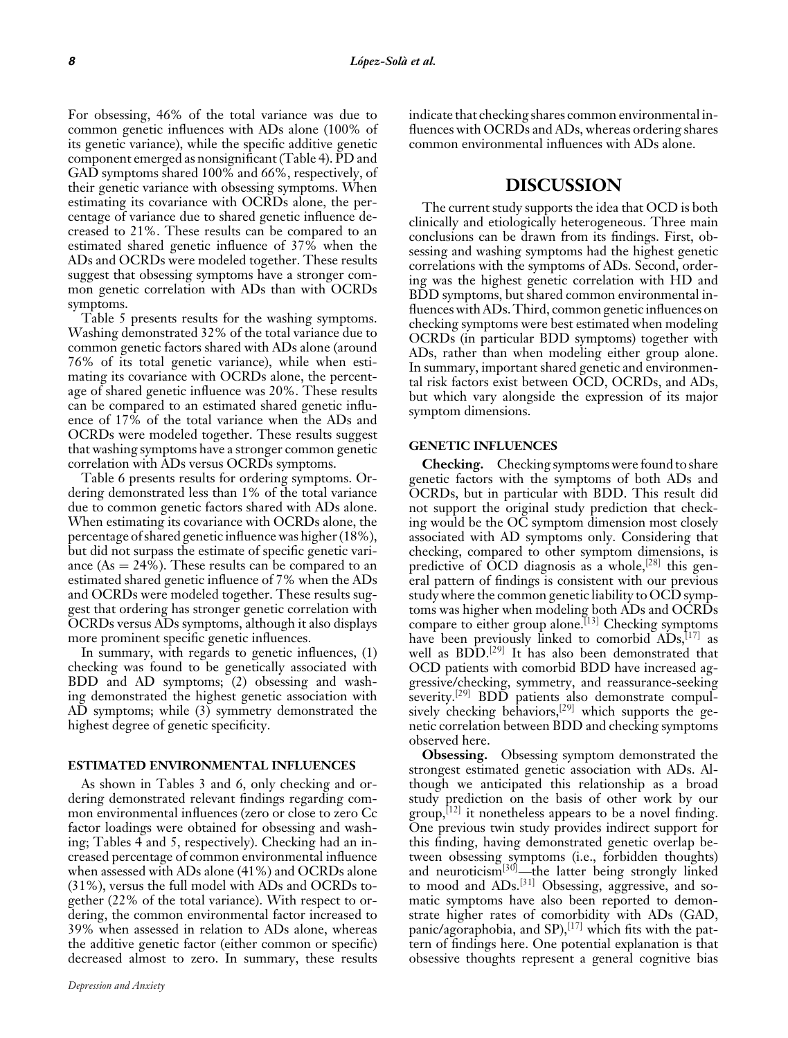For obsessing, 46% of the total variance was due to common genetic influences with ADs alone (100% of its genetic variance), while the specific additive genetic component emerged as nonsignificant (Table 4). PD and GAD symptoms shared 100% and 66%, respectively, of their genetic variance with obsessing symptoms. When estimating its covariance with OCRDs alone, the percentage of variance due to shared genetic influence decreased to 21%. These results can be compared to an estimated shared genetic influence of 37% when the ADs and OCRDs were modeled together. These results suggest that obsessing symptoms have a stronger common genetic correlation with ADs than with OCRDs symptoms.

Table 5 presents results for the washing symptoms. Washing demonstrated 32% of the total variance due to common genetic factors shared with ADs alone (around 76% of its total genetic variance), while when estimating its covariance with OCRDs alone, the percentage of shared genetic influence was 20%. These results can be compared to an estimated shared genetic influence of 17% of the total variance when the ADs and OCRDs were modeled together. These results suggest that washing symptoms have a stronger common genetic correlation with ADs versus OCRDs symptoms.

Table 6 presents results for ordering symptoms. Ordering demonstrated less than 1% of the total variance due to common genetic factors shared with ADs alone. When estimating its covariance with OCRDs alone, the percentage of shared genetic influence was higher (18%), but did not surpass the estimate of specific genetic variance  $(As = 24\%)$ . These results can be compared to an estimated shared genetic influence of 7% when the ADs and OCRDs were modeled together. These results suggest that ordering has stronger genetic correlation with OCRDs versus ADs symptoms, although it also displays more prominent specific genetic influences.

In summary, with regards to genetic influences, (1) checking was found to be genetically associated with BDD and AD symptoms; (2) obsessing and washing demonstrated the highest genetic association with AD symptoms; while (3) symmetry demonstrated the highest degree of genetic specificity.

#### **ESTIMATED ENVIRONMENTAL INFLUENCES**

As shown in Tables 3 and 6, only checking and ordering demonstrated relevant findings regarding common environmental influences (zero or close to zero Cc factor loadings were obtained for obsessing and washing; Tables 4 and 5, respectively). Checking had an increased percentage of common environmental influence when assessed with ADs alone (41%) and OCRDs alone (31%), versus the full model with ADs and OCRDs together (22% of the total variance). With respect to ordering, the common environmental factor increased to 39% when assessed in relation to ADs alone, whereas the additive genetic factor (either common or specific) decreased almost to zero. In summary, these results indicate that checking shares common environmental influences with OCRDs and ADs, whereas ordering shares common environmental influences with ADs alone.

### **DISCUSSION**

The current study supports the idea that OCD is both clinically and etiologically heterogeneous. Three main conclusions can be drawn from its findings. First, obsessing and washing symptoms had the highest genetic correlations with the symptoms of ADs. Second, ordering was the highest genetic correlation with HD and BDD symptoms, but shared common environmental influences with ADs. Third, common genetic influences on checking symptoms were best estimated when modeling OCRDs (in particular BDD symptoms) together with ADs, rather than when modeling either group alone. In summary, important shared genetic and environmental risk factors exist between OCD, OCRDs, and ADs, but which vary alongside the expression of its major symptom dimensions.

#### **GENETIC INFLUENCES**

**Checking.** Checking symptoms were found to share genetic factors with the symptoms of both ADs and OCRDs, but in particular with BDD. This result did not support the original study prediction that checking would be the OC symptom dimension most closely associated with AD symptoms only. Considering that checking, compared to other symptom dimensions, is predictive of OCD diagnosis as a whole,  $[28]$  this general pattern of findings is consistent with our previous study where the common genetic liability to OCD symptoms was higher when modeling both ADs and OCRDs compare to either group alone.<sup>[13]</sup> Checking symptoms have been previously linked to comorbid  $ADS$ <sup>[17]</sup> as well as BDD.<sup>[29]</sup> It has also been demonstrated that OCD patients with comorbid BDD have increased aggressive/checking, symmetry, and reassurance-seeking severity.<sup>[29]</sup> BDD patients also demonstrate compulsively checking behaviors,<sup>[29]</sup> which supports the genetic correlation between BDD and checking symptoms observed here.

**Obsessing.** Obsessing symptom demonstrated the strongest estimated genetic association with ADs. Although we anticipated this relationship as a broad study prediction on the basis of other work by our  $\text{group}$ ,  $\left[12\right]$  it nonetheless appears to be a novel finding. One previous twin study provides indirect support for this finding, having demonstrated genetic overlap between obsessing symptoms (i.e., forbidden thoughts) and neuroticism<sup>[30]</sup>—the latter being strongly linked to mood and ADs.<sup>[31]</sup> Obsessing, aggressive, and somatic symptoms have also been reported to demonstrate higher rates of comorbidity with ADs (GAD, panic/agoraphobia, and SP), $^{[17]}$  which fits with the pattern of findings here. One potential explanation is that obsessive thoughts represent a general cognitive bias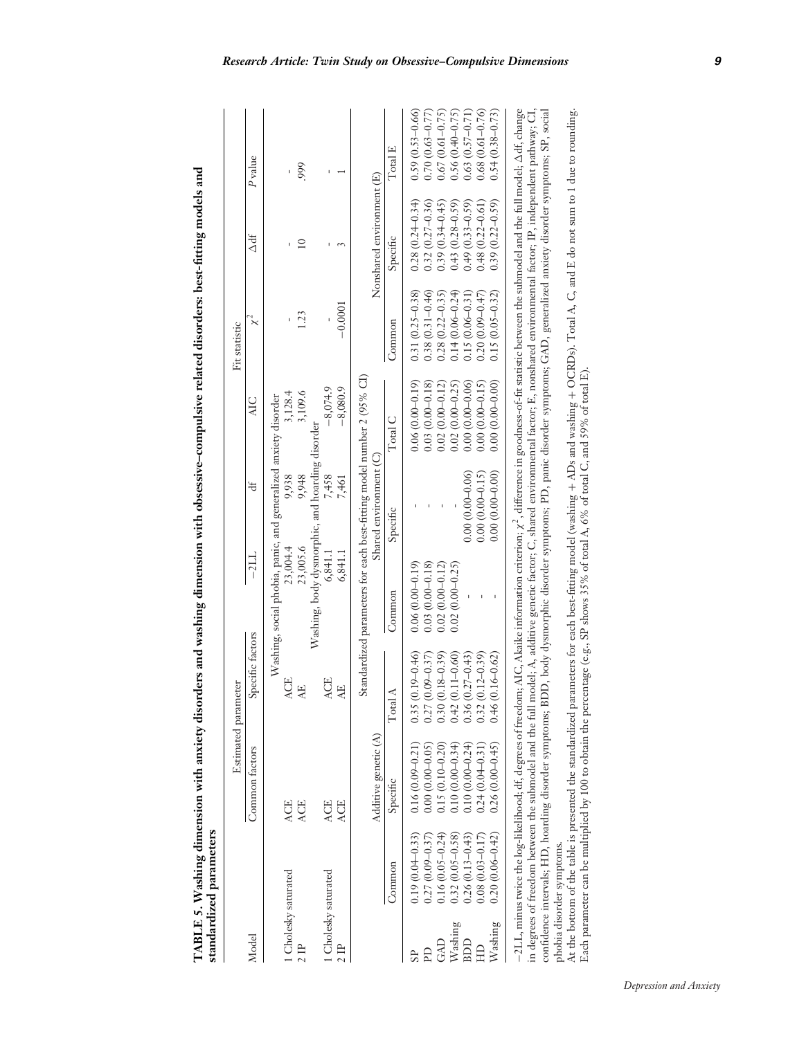| Ï                                                                      |   |
|------------------------------------------------------------------------|---|
|                                                                        |   |
|                                                                        | ١ |
|                                                                        |   |
|                                                                        |   |
|                                                                        |   |
|                                                                        |   |
|                                                                        |   |
|                                                                        |   |
|                                                                        |   |
|                                                                        |   |
|                                                                        |   |
|                                                                        |   |
|                                                                        | l |
|                                                                        |   |
| ۲<br>زا                                                                |   |
|                                                                        |   |
|                                                                        |   |
|                                                                        |   |
|                                                                        |   |
| $C = 1$                                                                |   |
|                                                                        |   |
|                                                                        |   |
|                                                                        | ١ |
|                                                                        |   |
|                                                                        |   |
|                                                                        |   |
|                                                                        |   |
|                                                                        |   |
|                                                                        |   |
|                                                                        |   |
| l                                                                      |   |
|                                                                        |   |
|                                                                        |   |
|                                                                        |   |
|                                                                        |   |
|                                                                        |   |
|                                                                        |   |
|                                                                        |   |
|                                                                        |   |
| $\begin{array}{c} \n\vdots \\ \vdots \\ \vdots \\ \vdots\n\end{array}$ |   |
|                                                                        |   |
| <br> <br> <br>                                                         |   |
|                                                                        |   |
|                                                                        |   |

|                      |                           |                                                                                                                                                                                                                                                                                                                                                   | Estimated parameter     |                                                                       |                        |                     | Fit statistic          |                           |                     |
|----------------------|---------------------------|---------------------------------------------------------------------------------------------------------------------------------------------------------------------------------------------------------------------------------------------------------------------------------------------------------------------------------------------------|-------------------------|-----------------------------------------------------------------------|------------------------|---------------------|------------------------|---------------------------|---------------------|
| Model                |                           | Common factors                                                                                                                                                                                                                                                                                                                                    | Specific factors        | $-211$                                                                | ď                      | AIC                 | $\overline{\varkappa}$ | $\Delta df$               | $P$ value           |
|                      |                           |                                                                                                                                                                                                                                                                                                                                                   |                         | Washing, social phobia, panic, and generalized anxiety disorder       |                        |                     |                        |                           |                     |
| 1 Cholesky saturated |                           | <b>ACE</b>                                                                                                                                                                                                                                                                                                                                        | ACE                     | 23,004.4                                                              | 9,938                  | 3,128.4             |                        | f,                        | ï                   |
|                      |                           | <b>ACE</b>                                                                                                                                                                                                                                                                                                                                        | $\overline{A}$          | 23,005.6                                                              | 9,948                  | 3,109.6             | 1.23                   | $\overline{10}$           | 999                 |
|                      |                           |                                                                                                                                                                                                                                                                                                                                                   |                         | Washing, body dysmorphic, and hoarding disorder                       |                        |                     |                        |                           |                     |
| 1 Cholesky saturated |                           | <b>ACE</b>                                                                                                                                                                                                                                                                                                                                        | <b>ACE</b>              | 6.841.1                                                               | 7,458                  | $-8,074.9$          |                        |                           |                     |
| $2$ IP               |                           | <b>ACE</b>                                                                                                                                                                                                                                                                                                                                        | $\overline{A}$          | 6,841.1                                                               | 7,461                  | $-8,080.9$          | $-0.0001$              |                           |                     |
|                      |                           |                                                                                                                                                                                                                                                                                                                                                   |                         | Standardized parameters for each best-fitting model number 2 (95% CI) |                        |                     |                        |                           |                     |
|                      |                           | Additive genetic (A)                                                                                                                                                                                                                                                                                                                              |                         |                                                                       | Shared environment (C) |                     |                        | Nonshared environment (E) |                     |
|                      | Common                    | Specific                                                                                                                                                                                                                                                                                                                                          | $\preceq$<br>Total      | Common                                                                | Specific               | Total C             | Common                 | Specific                  | Total E             |
|                      | $0.19(0.04 - 0.33)$       | $0.16(0.09 - 0.21)$                                                                                                                                                                                                                                                                                                                               | $(0.19 - 0.46)$<br>0.35 | $0.06(0.00-0.19)$                                                     |                        | $0.06(0.00-0.19)$   | $0.31(0.25 - 0.38)$    | $0.28(0.24 - 0.34)$       | $0.59(0.53 - 0.66)$ |
| Eq                   | $0.27(0.09 - 0.37)$       | $0.00(0.00-0.05)$                                                                                                                                                                                                                                                                                                                                 | $(0.09 - 0.37)$<br>0.27 | $0.03(0.00-0.18)$                                                     |                        | $0.03(0.00-0.18)$   | $0.38(0.31 - 0.46)$    | $0.32(0.27 - 0.36)$       | $0.70(0.63 - 0.77)$ |
| GAD                  | $0.16(0.05 - 0.24)$       | $0.15(0.10 - 0.20)$                                                                                                                                                                                                                                                                                                                               | $(0.18 - 0.39)$<br>0.30 | $0.02(0.00 - 0.12)$                                                   |                        | $0.02(0.00 - 0.12)$ | $0.28(0.22 - 0.35)$    | $0.39(0.34 - 0.45)$       | $0.67(0.61 - 0.75)$ |
| Washing              | $0.32(0.05 - 0.58)$       | $0.10(0.00 - 0.34)$                                                                                                                                                                                                                                                                                                                               | $(0.11 - 0.60)$<br>0.42 | $0.02(0.00-0.25)$                                                     |                        | $0.02(0.00 - 0.25)$ | $0.14(0.06 - 0.24)$    | $0.43(0.28 - 0.59)$       | $0.56(0.40 - 0.75)$ |
| BDD                  | $0.26(0.13 - 0.43)$       | $0.10(0.00 - 0.24)$                                                                                                                                                                                                                                                                                                                               | $(0.27 - 0.43)$<br>0.36 |                                                                       | $0.00(0.00-0.06)$      | $0.00(0.00-0.06)$   | $0.15(0.06 - 0.31)$    | $0.49(0.33 - 0.59)$       | $0.63(0.57 - 0.71)$ |
|                      | $0.08(0.03 - 0.17)$       | $0.24(0.04 - 0.31)$                                                                                                                                                                                                                                                                                                                               | $(0.12 - 0.39)$<br>0.32 |                                                                       | $0.00(0.00-0.15)$      | $0.00(0.00-0.15)$   | $0.20(0.09 - 0.47)$    | $0.48(0.22 - 0.61)$       | $0.68(0.61 - 0.76)$ |
| $W\mathrm{ashing}$   | $0.20(0.06 - 0.42)$       | $0.26(0.00-0.45)$                                                                                                                                                                                                                                                                                                                                 | $(0.16 - 0.62)$<br>0.46 |                                                                       | $0.00(0.00-0.00)$      | $0.00(0.00-0.00)$   | $0.15(0.05 - 0.32)$    | $0.39(0.22 - 0.59)$       | $0.54(0.38 - 0.73)$ |
|                      |                           | –2LL, minus twice the log-likelihood; df, degrees of freedom; AIG, Akaike information criterion; x <sup>2</sup> , difference in goodness-of-fit statistic between the submodel and the full model; Adf, change                                                                                                                                    |                         |                                                                       |                        |                     |                        |                           |                     |
|                      |                           | in degrees of freedom between the submodel and the full model; A, additive genetic factor; C, shared environmental factor; H, nonshared environmental factor; IP, independent pathway; CI,<br>confidence intervals; HD, hoarding disorder symptoms; BDD, body dysmorphic disorder symptoms; GD, generalized anxiety disorder symptoms; SP, social |                         |                                                                       |                        |                     |                        |                           |                     |
|                      | phobia disorder symptoms. |                                                                                                                                                                                                                                                                                                                                                   |                         |                                                                       |                        |                     |                        |                           |                     |
|                      |                           | At the bottom of the table is presented the standardized parameters for each best-fitting model (washing + ADs and washing + OCRDs). Total A, C, and E do not sum to 1 due to rounding.                                                                                                                                                           |                         |                                                                       |                        |                     |                        |                           |                     |

Each parameter can be multiplied by 100 to obtain the percentage (e.g., SP shows 35% of total A, 6% of total C, and 59% of total E).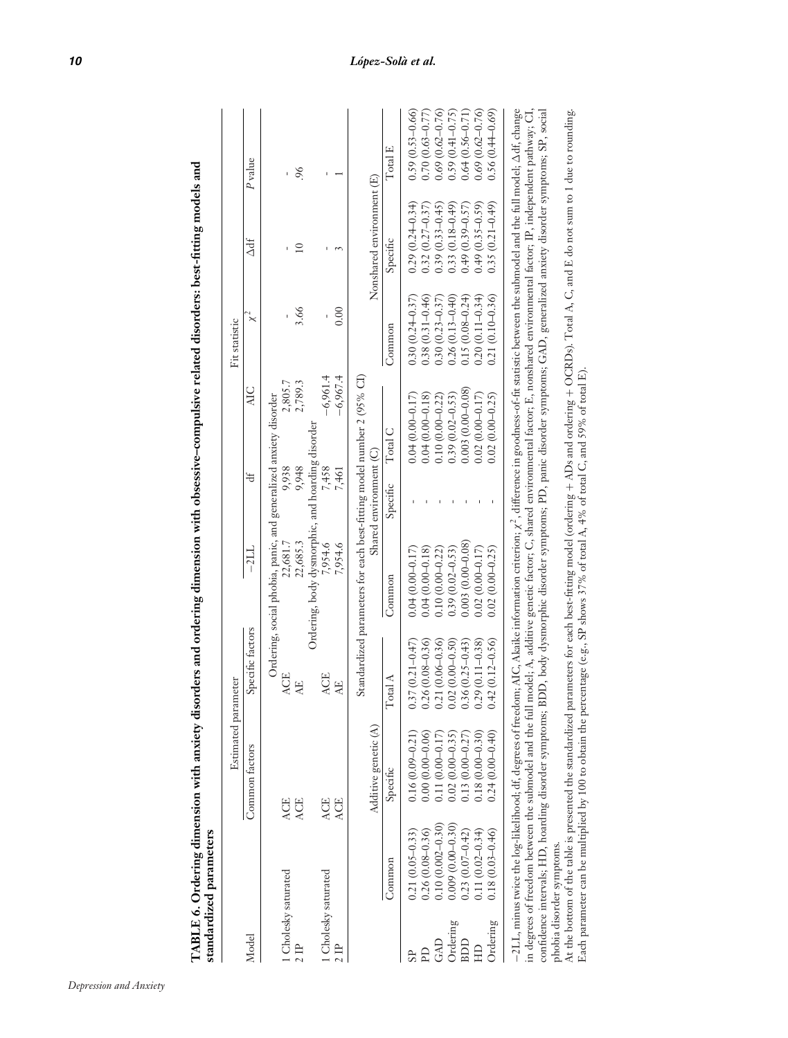|                      | standardized parameters   |                                                                                                                                                                                                                                                                                                                                  |                     |                                                                  |                        |                                                                                                                                    |                     |                           |                     |
|----------------------|---------------------------|----------------------------------------------------------------------------------------------------------------------------------------------------------------------------------------------------------------------------------------------------------------------------------------------------------------------------------|---------------------|------------------------------------------------------------------|------------------------|------------------------------------------------------------------------------------------------------------------------------------|---------------------|---------------------------|---------------------|
|                      |                           | Estimated parameter                                                                                                                                                                                                                                                                                                              |                     |                                                                  |                        |                                                                                                                                    | Fit statistic       |                           |                     |
| Model                |                           | Common factors                                                                                                                                                                                                                                                                                                                   | Specific factors    | $-2LL$                                                           | ₩                      | ЯC                                                                                                                                 | $\check{\check{}}$  | $\Delta df$               | P <sub>value</sub>  |
|                      |                           |                                                                                                                                                                                                                                                                                                                                  |                     | Ordering, social phobia, panic, and generalized anxiety disorder |                        |                                                                                                                                    |                     |                           |                     |
| 1 Cholesky saturated |                           | <b>ACE</b>                                                                                                                                                                                                                                                                                                                       | <b>ACE</b>          | 22,681.7                                                         | 9,938                  | 2,805.7                                                                                                                            |                     |                           |                     |
|                      |                           | <b>ACE</b>                                                                                                                                                                                                                                                                                                                       | Æ                   | 22,685.3                                                         | 9,948                  | 2,789.3                                                                                                                            | 3.66                | $\overline{10}$           | 96.                 |
|                      |                           |                                                                                                                                                                                                                                                                                                                                  |                     | Ordering, body dysmorphic, and hoarding disorder                 |                        |                                                                                                                                    |                     |                           |                     |
| 1 Cholesky saturated |                           | <b>ACE</b>                                                                                                                                                                                                                                                                                                                       | <b>ACE</b>          | 7,954.6                                                          | 7,458                  | $-6,961.4$                                                                                                                         |                     |                           |                     |
| $2$ IP               |                           | <b>ACE</b>                                                                                                                                                                                                                                                                                                                       | 낫                   | 7,954.6                                                          | 7,461                  | $-6,967.4$                                                                                                                         | 0.00                |                           |                     |
|                      |                           |                                                                                                                                                                                                                                                                                                                                  |                     |                                                                  |                        | Standardized parameters for each best-fitting model number 2 (95% CI)                                                              |                     |                           |                     |
|                      |                           | Additive genetic (A)                                                                                                                                                                                                                                                                                                             |                     |                                                                  | Shared environment (C) |                                                                                                                                    |                     | Nonshared environment (E) |                     |
|                      | Common                    | Specific                                                                                                                                                                                                                                                                                                                         | Total A             | Common                                                           | Specific               | Total C                                                                                                                            | Common              | Specific                  | Total E             |
|                      | $0.21(0.05 - 0.33)$       | $0.16(0.09 - 0.21)$                                                                                                                                                                                                                                                                                                              | $.37(0.21 - 0.47)$  | $0.04(0.00 - 0.17)$                                              |                        | $0.04(0.00 - 0.17)$                                                                                                                | $0.30(0.24 - 0.37)$ | $0.29(0.24 - 0.34)$       | $0.59(0.53 - 0.66)$ |
| Eq                   | $0.26(0.08 - 0.36)$       | $0.00(0.00-0.06)$                                                                                                                                                                                                                                                                                                                | $0.26(0.08 - 0.36)$ | $0.04(0.00 - 0.18)$                                              |                        | $0.04(0.00-0.18)$                                                                                                                  | $0.38(0.31 - 0.46)$ | $0.32(0.27 - 0.37)$       | $0.70(0.63 - 0.77)$ |
| GAD                  | $0.10(0.002 - 0.30)$      | $0.11(0.00-0.17)$                                                                                                                                                                                                                                                                                                                | $0.21(0.06 - 0.36)$ | $0.10(0.00 - 0.22)$                                              |                        | $0.10(0.00 - 0.22)$                                                                                                                | $0.30(0.23 - 0.37)$ | $0.39(0.33 - 0.45)$       | $0.69(0.62 - 0.76)$ |
| Ordering             | $0.009(0.00-0.30)$        | $0.02(0.00 - 0.35)$                                                                                                                                                                                                                                                                                                              | $0.02(0.00 - 0.50)$ | $0.39(0.02 - 0.53)$                                              |                        | $0.39(0.02 - 0.53)$                                                                                                                | $0.26(0.13 - 0.40)$ | $0.33(0.18 - 0.49)$       | $0.59(0.41 - 0.75)$ |
| BDD                  | $0.23(0.07-0.42)$         | $\begin{array}{c} 0.13\ (0.00{-}0.2\,7) \\ 0.18\ (0.00{-}0.3\,0) \end{array}$                                                                                                                                                                                                                                                    | $0.36(0.25 - 0.43)$ | $0.003(0.00-0.08)$                                               |                        | $0.003(0.00-0.08)$                                                                                                                 | $0.15(0.08 - 0.24)$ | $0.49(0.39 - 0.57)$       | $0.64(0.56 - 0.71)$ |
| EH                   | $0.11(0.02 - 0.34)$       |                                                                                                                                                                                                                                                                                                                                  | $.29(0.11 - 0.38)$  | $0.02(0.00 - 0.17)$                                              |                        | $0.02(0.00 - 0.17)$                                                                                                                | $0.20(0.11 - 0.34)$ | $0.49(0.35 - 0.59)$       | $0.69(0.62 - 0.76)$ |
| Ordering             | $0.18(0.03 - 0.46)$       | $0.24(0.00-0.40)$                                                                                                                                                                                                                                                                                                                | $.42(0.12 - 0.56)$  | $0.02(0.00 - 0.25)$                                              |                        | $0.02(0.00-0.25)$                                                                                                                  | $0.21(0.10-0.36)$   | $0.35(0.21 - 0.49)$       | $0.56(0.44 - 0.69)$ |
|                      |                           | –2LL, minus twice the log-likelihood; df, degrees of freedom; AIG, Akaike information criterion; x <sup>2</sup> , difference in goodness-of-fit statistic between the submodel and the full model; Adf, change                                                                                                                   |                     |                                                                  |                        |                                                                                                                                    |                     |                           |                     |
|                      |                           | confidence intervals; HD, hoarding disorder symptoms; BDD, body dysmorphic disorder symptoms; PD, panic disorder symptoms; GAD, generalized anxiety disorder symptoms; SP, social<br>in degrees of freedom between the submodel and the full                                                                                     |                     |                                                                  |                        | model; A, additive genetic factor; C, shared environmental factor; E, nonshared environmental factor; IP, independent pathway; CI, |                     |                           |                     |
|                      | phobia disorder symptoms. |                                                                                                                                                                                                                                                                                                                                  |                     |                                                                  |                        |                                                                                                                                    |                     |                           |                     |
|                      |                           | At the bottom of the table is presented the standardized parameters for each best-fitting model (ordering + ADs and ordering + OCRDs). Total A, C, and E do not sum to 1 due to rounding.<br>Each parameter can be multiplied by 100 to obtain the percentage (e.g., SP shows 37% of total A, 4% of total C, and 59% of total E) |                     |                                                                  |                        |                                                                                                                                    |                     |                           |                     |

TABLE 6. Ordering dimension with anxiety disorders and ordering dimension with obsessive-compulsive related disorders: best-fitting models and TABLE 6. Ordering dimension with anxiety disorders and ordering dimension with obsessive-compulsive related disorders: best-fitting models and

*Depression and Anxiety*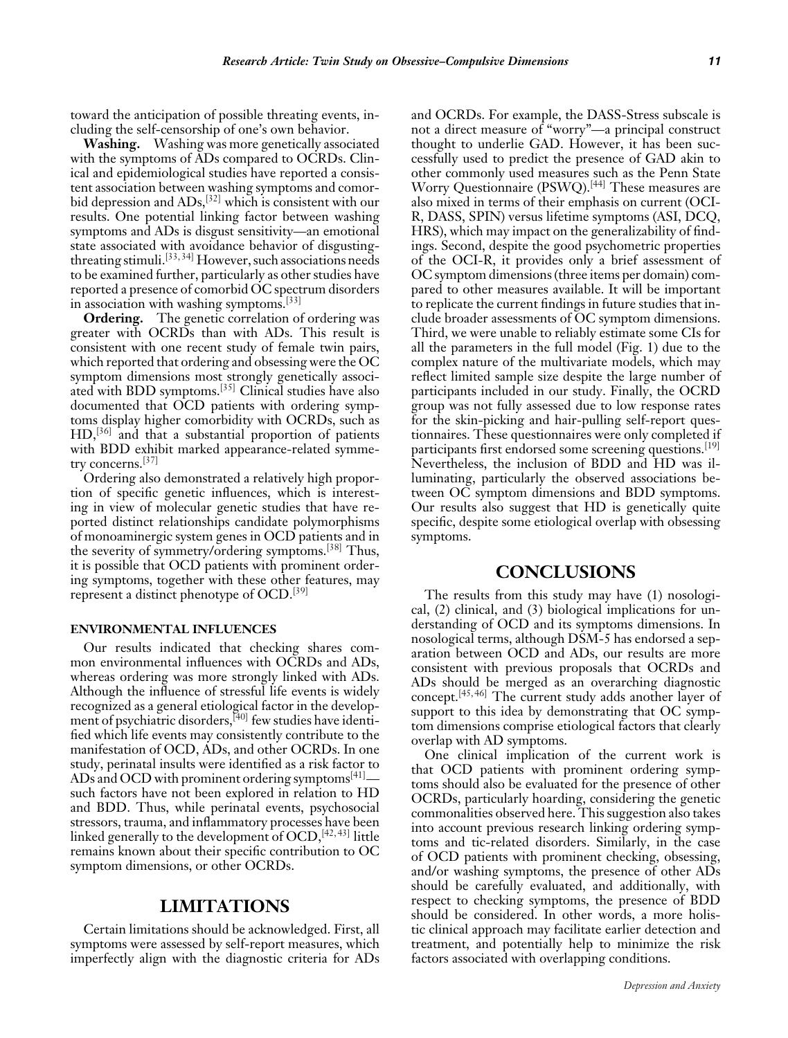toward the anticipation of possible threating events, including the self-censorship of one's own behavior.

**Washing.** Washing was more genetically associated with the symptoms of ADs compared to OCRDs. Clinical and epidemiological studies have reported a consistent association between washing symptoms and comorbid depression and ADs,<sup>[32]</sup> which is consistent with our results. One potential linking factor between washing symptoms and ADs is disgust sensitivity—an emotional state associated with avoidance behavior of disgustingthreating stimuli.[33, 34] However, such associations needs to be examined further, particularly as other studies have reported a presence of comorbid OC spectrum disorders in association with washing symptoms.[33]

**Ordering.** The genetic correlation of ordering was greater with OCRDs than with ADs. This result is consistent with one recent study of female twin pairs, which reported that ordering and obsessing were the OC symptom dimensions most strongly genetically associated with BDD symptoms.[35] Clinical studies have also documented that OCD patients with ordering symptoms display higher comorbidity with OCRDs, such as HD,[36] and that a substantial proportion of patients with BDD exhibit marked appearance-related symmetry concerns.[37]

Ordering also demonstrated a relatively high proportion of specific genetic influences, which is interesting in view of molecular genetic studies that have reported distinct relationships candidate polymorphisms of monoaminergic system genes in OCD patients and in the severity of symmetry/ordering symptoms.[38] Thus, it is possible that OCD patients with prominent ordering symptoms, together with these other features, may represent a distinct phenotype of OCD.<sup>[39]</sup>

#### **ENVIRONMENTAL INFLUENCES**

Our results indicated that checking shares common environmental influences with OCRDs and ADs, whereas ordering was more strongly linked with ADs. Although the influence of stressful life events is widely recognized as a general etiological factor in the development of psychiatric disorders,<sup>[40]</sup> few studies have identified which life events may consistently contribute to the manifestation of OCD, ADs, and other OCRDs. In one study, perinatal insults were identified as a risk factor to ADs and OCD with prominent ordering symptoms $[41]$  such factors have not been explored in relation to HD and BDD. Thus, while perinatal events, psychosocial stressors, trauma, and inflammatory processes have been linked generally to the development of OCD, [42, 43] little remains known about their specific contribution to OC symptom dimensions, or other OCRDs.

### **LIMITATIONS**

Certain limitations should be acknowledged. First, all symptoms were assessed by self-report measures, which imperfectly align with the diagnostic criteria for ADs and OCRDs. For example, the DASS-Stress subscale is not a direct measure of "worry"—a principal construct thought to underlie GAD. However, it has been successfully used to predict the presence of GAD akin to other commonly used measures such as the Penn State Worry Questionnaire (PSWQ).<sup>[44]</sup> These measures are also mixed in terms of their emphasis on current (OCI-R, DASS, SPIN) versus lifetime symptoms (ASI, DCQ, HRS), which may impact on the generalizability of findings. Second, despite the good psychometric properties of the OCI-R, it provides only a brief assessment of OC symptom dimensions (three items per domain) compared to other measures available. It will be important to replicate the current findings in future studies that include broader assessments of OC symptom dimensions. Third, we were unable to reliably estimate some CIs for all the parameters in the full model (Fig. 1) due to the complex nature of the multivariate models, which may reflect limited sample size despite the large number of participants included in our study. Finally, the OCRD group was not fully assessed due to low response rates for the skin-picking and hair-pulling self-report questionnaires. These questionnaires were only completed if participants first endorsed some screening questions.<sup>[19]</sup> Nevertheless, the inclusion of BDD and HD was illuminating, particularly the observed associations between OC symptom dimensions and BDD symptoms. Our results also suggest that HD is genetically quite specific, despite some etiological overlap with obsessing symptoms.

## **CONCLUSIONS**

The results from this study may have (1) nosological, (2) clinical, and (3) biological implications for understanding of OCD and its symptoms dimensions. In nosological terms, although DSM-5 has endorsed a separation between OCD and ADs, our results are more consistent with previous proposals that OCRDs and ADs should be merged as an overarching diagnostic concept.[45, 46] The current study adds another layer of support to this idea by demonstrating that OC symptom dimensions comprise etiological factors that clearly overlap with AD symptoms.

One clinical implication of the current work is that OCD patients with prominent ordering symptoms should also be evaluated for the presence of other OCRDs, particularly hoarding, considering the genetic commonalities observed here. This suggestion also takes into account previous research linking ordering symptoms and tic-related disorders. Similarly, in the case of OCD patients with prominent checking, obsessing, and/or washing symptoms, the presence of other ADs should be carefully evaluated, and additionally, with respect to checking symptoms, the presence of BDD should be considered. In other words, a more holistic clinical approach may facilitate earlier detection and treatment, and potentially help to minimize the risk factors associated with overlapping conditions.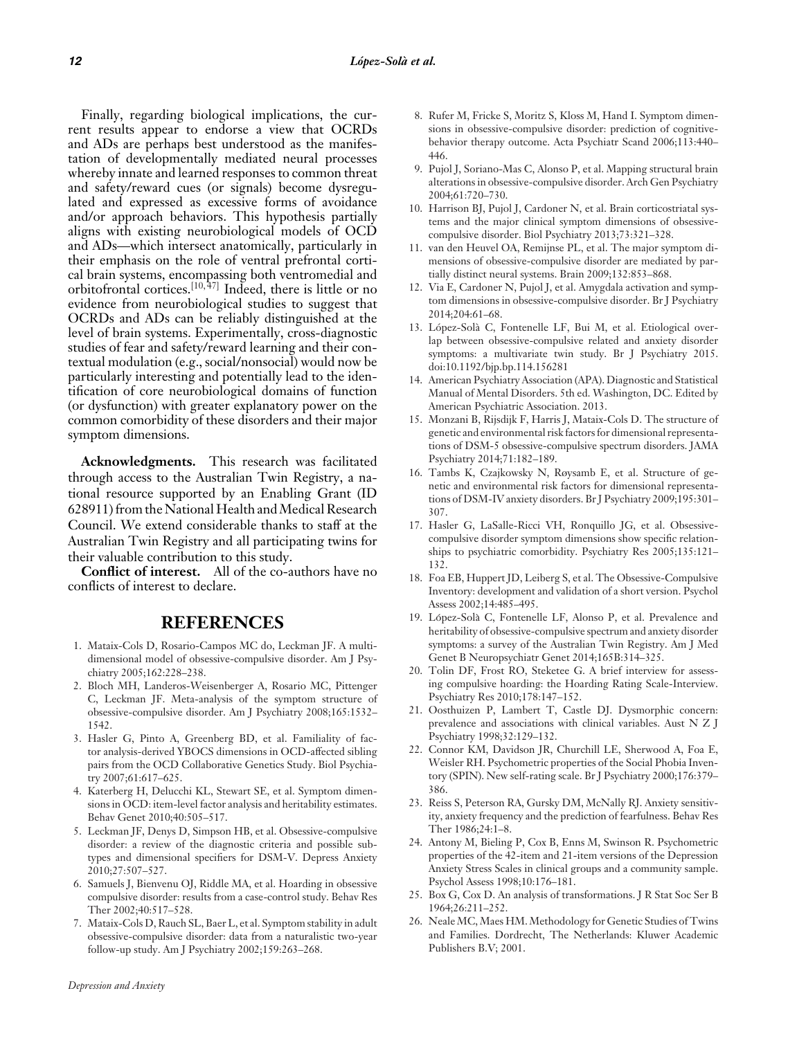Finally, regarding biological implications, the current results appear to endorse a view that OCRDs and ADs are perhaps best understood as the manifestation of developmentally mediated neural processes whereby innate and learned responses to common threat and safety/reward cues (or signals) become dysregulated and expressed as excessive forms of avoidance and/or approach behaviors. This hypothesis partially aligns with existing neurobiological models of OCD and ADs—which intersect anatomically, particularly in their emphasis on the role of ventral prefrontal cortical brain systems, encompassing both ventromedial and orbitofrontal cortices.[10, 47] Indeed, there is little or no evidence from neurobiological studies to suggest that OCRDs and ADs can be reliably distinguished at the level of brain systems. Experimentally, cross-diagnostic studies of fear and safety/reward learning and their contextual modulation (e.g., social/nonsocial) would now be particularly interesting and potentially lead to the identification of core neurobiological domains of function (or dysfunction) with greater explanatory power on the common comorbidity of these disorders and their major symptom dimensions.

**Acknowledgments.** This research was facilitated through access to the Australian Twin Registry, a national resource supported by an Enabling Grant (ID 628911) from the National Health andMedical Research Council. We extend considerable thanks to staff at the Australian Twin Registry and all participating twins for their valuable contribution to this study.

**Conflict of interest.** All of the co-authors have no conflicts of interest to declare.

### **REFERENCES**

- 1. Mataix-Cols D, Rosario-Campos MC do, Leckman JF. A multidimensional model of obsessive-compulsive disorder. Am J Psychiatry 2005;162:228–238.
- 2. Bloch MH, Landeros-Weisenberger A, Rosario MC, Pittenger C, Leckman JF. Meta-analysis of the symptom structure of obsessive-compulsive disorder. Am J Psychiatry 2008;165:1532– 1542.
- 3. Hasler G, Pinto A, Greenberg BD, et al. Familiality of factor analysis-derived YBOCS dimensions in OCD-affected sibling pairs from the OCD Collaborative Genetics Study. Biol Psychiatry 2007;61:617–625.
- 4. Katerberg H, Delucchi KL, Stewart SE, et al. Symptom dimensions in OCD: item-level factor analysis and heritability estimates. Behav Genet 2010;40:505–517.
- 5. Leckman JF, Denys D, Simpson HB, et al. Obsessive-compulsive disorder: a review of the diagnostic criteria and possible subtypes and dimensional specifiers for DSM-V. Depress Anxiety 2010;27:507–527.
- 6. Samuels J, Bienvenu OJ, Riddle MA, et al. Hoarding in obsessive compulsive disorder: results from a case-control study. Behav Res Ther 2002;40:517–528.
- 7. Mataix-Cols D, Rauch SL, Baer L, et al. Symptom stability in adult obsessive-compulsive disorder: data from a naturalistic two-year follow-up study. Am J Psychiatry 2002;159:263–268.
- 8. Rufer M, Fricke S, Moritz S, Kloss M, Hand I. Symptom dimensions in obsessive-compulsive disorder: prediction of cognitivebehavior therapy outcome. Acta Psychiatr Scand 2006;113:440– 446.
- 9. Pujol J, Soriano-Mas C, Alonso P, et al. Mapping structural brain alterations in obsessive-compulsive disorder. Arch Gen Psychiatry 2004;61:720–730.
- 10. Harrison BJ, Pujol J, Cardoner N, et al. Brain corticostriatal systems and the major clinical symptom dimensions of obsessivecompulsive disorder. Biol Psychiatry 2013;73:321–328.
- 11. van den Heuvel OA, Remijnse PL, et al. The major symptom dimensions of obsessive-compulsive disorder are mediated by partially distinct neural systems. Brain 2009;132:853–868.
- 12. Via E, Cardoner N, Pujol J, et al. Amygdala activation and symptom dimensions in obsessive-compulsive disorder. Br J Psychiatry 2014;204:61–68.
- 13. López-Solà C, Fontenelle LF, Bui M, et al. Etiological overlap between obsessive-compulsive related and anxiety disorder symptoms: a multivariate twin study. Br J Psychiatry 2015. doi:10.1192/bjp.bp.114.156281
- 14. American Psychiatry Association (APA). Diagnostic and Statistical Manual of Mental Disorders. 5th ed. Washington, DC. Edited by American Psychiatric Association. 2013.
- 15. Monzani B, Rijsdijk F, Harris J, Mataix-Cols D. The structure of genetic and environmental risk factors for dimensional representations of DSM-5 obsessive-compulsive spectrum disorders. JAMA Psychiatry 2014;71:182–189.
- 16. Tambs K, Czajkowsky N, Røysamb E, et al. Structure of genetic and environmental risk factors for dimensional representations of DSM-IV anxiety disorders. Br J Psychiatry 2009;195:301– 307.
- 17. Hasler G, LaSalle-Ricci VH, Ronquillo JG, et al. Obsessivecompulsive disorder symptom dimensions show specific relationships to psychiatric comorbidity. Psychiatry Res 2005;135:121– 132.
- 18. Foa EB, Huppert JD, Leiberg S, et al. The Obsessive-Compulsive Inventory: development and validation of a short version. Psychol Assess 2002;14:485–495.
- 19. López-Solà C, Fontenelle LF, Alonso P, et al. Prevalence and heritability of obsessive-compulsive spectrum and anxiety disorder symptoms: a survey of the Australian Twin Registry. Am J Med Genet B Neuropsychiatr Genet 2014;165B:314–325.
- 20. Tolin DF, Frost RO, Steketee G. A brief interview for assessing compulsive hoarding: the Hoarding Rating Scale-Interview. Psychiatry Res 2010;178:147–152.
- 21. Oosthuizen P, Lambert T, Castle DJ. Dysmorphic concern: prevalence and associations with clinical variables. Aust N Z J Psychiatry 1998;32:129–132.
- 22. Connor KM, Davidson JR, Churchill LE, Sherwood A, Foa E, Weisler RH. Psychometric properties of the Social Phobia Inventory (SPIN). New self-rating scale. Br J Psychiatry 2000;176:379– 386.
- 23. Reiss S, Peterson RA, Gursky DM, McNally RJ. Anxiety sensitivity, anxiety frequency and the prediction of fearfulness. Behav Res Ther 1986;24:1–8.
- 24. Antony M, Bieling P, Cox B, Enns M, Swinson R. Psychometric properties of the 42-item and 21-item versions of the Depression Anxiety Stress Scales in clinical groups and a community sample. Psychol Assess 1998;10:176–181.
- 25. Box G, Cox D. An analysis of transformations. J R Stat Soc Ser B 1964;26:211–252.
- 26. Neale MC, Maes HM. Methodology for Genetic Studies of Twins and Families. Dordrecht, The Netherlands: Kluwer Academic Publishers B.V; 2001.